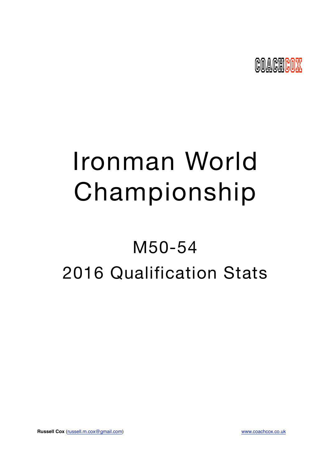

# Ironman World Championship

## M50-54 2016 Qualification Stats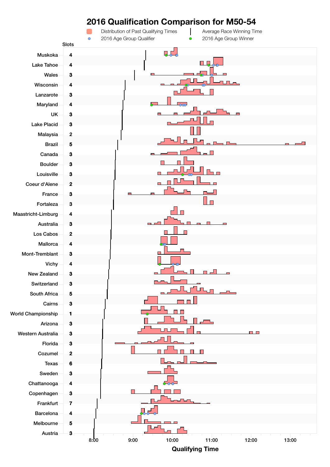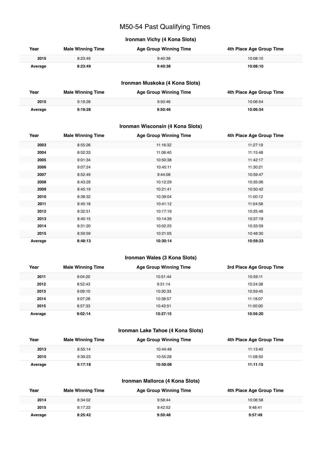## M50-54 Past Qualifying Times

## **Ironman Vichy (4 Kona Slots)**

| Year    | <b>Male Winning Time</b> | <b>Age Group Winning Time</b> | 4th Place Age Group Time |
|---------|--------------------------|-------------------------------|--------------------------|
| 2015    | 8:23:49                  | 9:40:38                       | 10:08:10                 |
| Average | 8:23:49                  | 9:40:38                       | 10:08:10                 |

## **Ironman Muskoka (4 Kona Slots)**

| Year    | <b>Male Winning Time</b> | <b>Age Group Winning Time</b> | 4th Place Age Group Time |
|---------|--------------------------|-------------------------------|--------------------------|
| 2015    | 9:19:28                  | 9:50:46                       | 10:06:54                 |
| Average | 9:19:28                  | 9:50:46                       | 10:06:54                 |

## **Ironman Wisconsin (4 Kona Slots)**

| Year    | <b>Male Winning Time</b> | <b>Age Group Winning Time</b> | 4th Place Age Group Time |
|---------|--------------------------|-------------------------------|--------------------------|
| 2003    | 8:55:26                  | 11:16:32                      | 11:27:19                 |
| 2004    | 8:52:33                  | 11:06:40                      | 11:15:48                 |
| 2005    | 9:01:34                  | 10:50:38                      | 11:42:17                 |
| 2006    | 9:07:24                  | 10:45:11                      | 11:30:21                 |
| 2007    | 8:52:49                  | 9:44:08                       | 10:59:47                 |
| 2008    | 8:43:29                  | 10:12:29                      | 10:35:06                 |
| 2009    | 8:45:19                  | 10:21:41                      | 10:50:42                 |
| 2010    | 8:38:32                  | 10:39:04                      | 11:00:12                 |
| 2011    | 8:45:18                  | 10:41:12                      | 11:04:58                 |
| 2012    | 8:32:51                  | 10:17:19                      | 10:25:46                 |
| 2013    | 8:40:15                  | 10:14:39                      | 10:37:19                 |
| 2014    | 8:31:20                  | 10:02:25                      | 10:33:59                 |
| 2015    | 8:59:59                  | 10:21:05                      | 10:48:30                 |
| Average | 8:48:13                  | 10:30:14                      | 10:59:23                 |

## **Ironman Wales (3 Kona Slots)**

| Year    | <b>Male Winning Time</b> | <b>Age Group Winning Time</b> | 3rd Place Age Group Time |
|---------|--------------------------|-------------------------------|--------------------------|
| 2011    | 9:04:20                  | 10:51:44                      | 10:59:11                 |
| 2012    | 8:52:43                  | 9:31:14                       | 10:24:38                 |
| 2013    | 9:09:10                  | 10:30:33                      | 10:59:45                 |
| 2014    | 9:07:28                  | 10:38:57                      | 11:18:07                 |
| 2015    | 8:57:33                  | 10:43:51                      | 11:00:00                 |
| Average | 9:02:14                  | 10:27:15                      | 10:56:20                 |

## **Ironman Lake Tahoe (4 Kona Slots)**

| Year    | <b>Male Winning Time</b> | <b>Age Group Winning Time</b> | 4th Place Age Group Time |
|---------|--------------------------|-------------------------------|--------------------------|
| 2013    | 8:55:14                  | 10:44:48                      | 11:13:40                 |
| 2015    | 9:39:23                  | 10:55:28                      | 11:08:50                 |
| Average | 9:17:18                  | 10:50:08                      | 11:11:15                 |

## **Ironman Mallorca (4 Kona Slots)**

| Year    | <b>Male Winning Time</b> | <b>Age Group Winning Time</b> | 4th Place Age Group Time |
|---------|--------------------------|-------------------------------|--------------------------|
| 2014    | 8:34:02                  | 9:58:44                       | 10:06:58                 |
| 2015    | 8:17:22                  | 9:42:52                       | 9:48:41                  |
| Average | 8:25:42                  | 9:50:48                       | 9:57:49                  |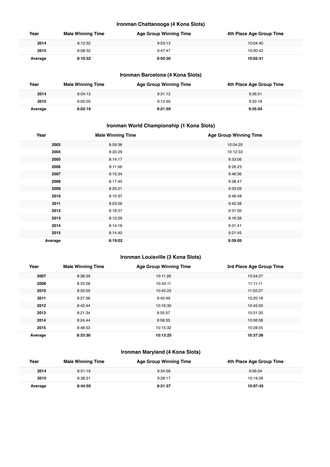## **Ironman Chattanooga (4 Kona Slots)**

| Year    | <b>Male Winning Time</b> | <b>Age Group Winning Time</b> | 4th Place Age Group Time |
|---------|--------------------------|-------------------------------|--------------------------|
| 2014    | 8:12:32                  | 9:53:13                       | 10:04:40                 |
| 2015    | 8:08:32                  | 9:47:47                       | 10:00:42                 |
| Average | 8:10:32                  | 9:50:30                       | 10:02:41                 |

## **Ironman Barcelona (4 Kona Slots)**

| Year    | <b>Male Winning Time</b> | <b>Age Group Winning Time</b> | 4th Place Age Group Time |
|---------|--------------------------|-------------------------------|--------------------------|
| 2014    | 8:04:13                  | 9:31:12                       | 9:36:51                  |
| 2015    | 8:02:20                  | 9:12:46                       | 9:33:18                  |
| Average | 8:03:16                  | 9:21:59                       | 9:35:04                  |

## **Ironman World Championship (1 Kona Slots)**

| Year    | <b>Male Winning Time</b> | <b>Age Group Winning Time</b> |
|---------|--------------------------|-------------------------------|
| 2003    | 8:59:36                  | 10:04:20                      |
| 2004    | 8:33:29                  | 10:12:33                      |
| 2005    | 8:14:17                  | 9:33:06                       |
| 2006    | 8:11:56                  | 9:26:23                       |
| 2007    | 8:15:34                  | 9:46:36                       |
| 2008    | 8:17:45                  | 9:38:47                       |
| 2009    | 8:20:21                  | 9:33:09                       |
| 2010    | 8:10:37                  | 9:48:48                       |
| 2011    | 8:03:56                  | 9:42:38                       |
| 2012    | 8:18:37                  | 9:31:50                       |
| 2013    | 8:12:29                  | 9:16:38                       |
| 2014    | 8:14:18                  | 9:31:41                       |
| 2015    | 8:14:40                  | 9:21:45                       |
| Average | 8:19:02                  | 9:39:05                       |

## **Ironman Louisville (3 Kona Slots)**

| Year    | <b>Male Winning Time</b> | <b>Age Group Winning Time</b> | 3rd Place Age Group Time |
|---------|--------------------------|-------------------------------|--------------------------|
| 2007    | 8:38:39                  | 10:11:26                      | 10:34:27                 |
| 2008    | 8:33:58                  | 10:43:11                      | 11:11:11                 |
| 2010    | 8:29:59                  | 10:45:23                      | 11:02:27                 |
| 2011    | 8:27:36                  | 9:40:49                       | 10:20:18                 |
| 2012    | 8:42:44                  | 10:16:30                      | 10:45:00                 |
| 2013    | 8:21:34                  | 9:55:57                       | 10:31:35                 |
| 2014    | 8:24:44                  | 9:58:35                       | 10:06:58                 |
| 2015    | 8:48:53                  | 10:15:32                      | 10:28:55                 |
| Average | 8:33:30                  | 10:13:25                      | 10:37:36                 |

## **Ironman Maryland (4 Kona Slots)**

| Year    | <b>Male Winning Time</b> | Age Group Winning Time | 4th Place Age Group Time |
|---------|--------------------------|------------------------|--------------------------|
| 2014    | 8:51:19                  | 9:34:58                | 9:56:04                  |
| 2015    | 8:38:21                  | 9:28:17                | 10:19:26                 |
| Average | 8:44:50                  | 9:31:37                | 10:07:45                 |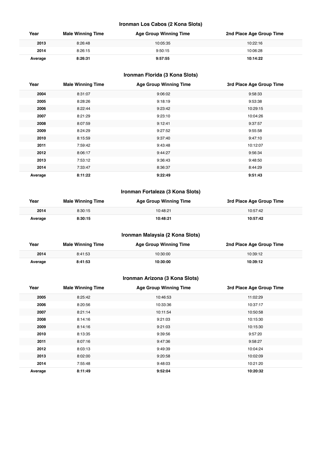## **Ironman Los Cabos (2 Kona Slots)**

| Year    | <b>Male Winning Time</b> | <b>Age Group Winning Time</b> | 2nd Place Age Group Time |
|---------|--------------------------|-------------------------------|--------------------------|
| 2013    | 8:26:48                  | 10:05:35                      | 10:22:16                 |
| 2014    | 8:26:15                  | 9:50:15                       | 10:06:28                 |
| Average | 8:26:31                  | 9:57:55                       | 10:14:22                 |

## **Ironman Florida (3 Kona Slots)**

| Year    | <b>Male Winning Time</b> | <b>Age Group Winning Time</b> | 3rd Place Age Group Time |
|---------|--------------------------|-------------------------------|--------------------------|
| 2004    | 8:31:07                  | 9:06:02                       | 9:58:33                  |
| 2005    | 8:28:26                  | 9:18:19                       | 9:53:38                  |
| 2006    | 8:22:44                  | 9:23:42                       | 10:29:15                 |
| 2007    | 8:21:29                  | 9:23:10                       | 10:04:26                 |
| 2008    | 8:07:59                  | 9:12:41                       | 9:37:57                  |
| 2009    | 8:24:29                  | 9:27:52                       | 9:55:58                  |
| 2010    | 8:15:59                  | 9:37:40                       | 9:47:10                  |
| 2011    | 7:59:42                  | 9:43:48                       | 10:12:07                 |
| 2012    | 8:06:17                  | 9:44:27                       | 9:56:34                  |
| 2013    | 7:53:12                  | 9:36:43                       | 9:48:50                  |
| 2014    | 7:33:47                  | 8:36:37                       | 8:44:29                  |
| Average | 8:11:22                  | 9:22:49                       | 9:51:43                  |

## **Ironman Fortaleza (3 Kona Slots)**

| Year    | <b>Male Winning Time</b> | <b>Age Group Winning Time</b> | 3rd Place Age Group Time |
|---------|--------------------------|-------------------------------|--------------------------|
| 2014    | 8:30:15                  | 10:48:21                      | 10:57:42                 |
| Average | 8:30:15                  | 10:48:21                      | 10:57:42                 |

## **Ironman Malaysia (2 Kona Slots)**

| Year    | <b>Male Winning Time</b> | <b>Age Group Winning Time</b> | 2nd Place Age Group Time |
|---------|--------------------------|-------------------------------|--------------------------|
| 2014    | 8:41:53                  | 10:30:00                      | 10:39:12                 |
| Average | 8:41:53                  | 10:30:00                      | 10:39:12                 |

## **Ironman Arizona (3 Kona Slots)**

| Year    | <b>Male Winning Time</b> | <b>Age Group Winning Time</b> | 3rd Place Age Group Time |
|---------|--------------------------|-------------------------------|--------------------------|
| 2005    | 8:25:42                  | 10:46:53                      | 11:02:29                 |
| 2006    | 8:20:56                  | 10:33:36                      | 10:37:17                 |
| 2007    | 8:21:14                  | 10:11:54                      | 10:50:58                 |
| 2008    | 8:14:16                  | 9:21:03                       | 10:15:30                 |
| 2009    | 8:14:16                  | 9:21:03                       | 10:15:30                 |
| 2010    | 8:13:35                  | 9:39:56                       | 9:57:20                  |
| 2011    | 8:07:16                  | 9:47:36                       | 9:58:27                  |
| 2012    | 8:03:13                  | 9:49:39                       | 10:04:24                 |
| 2013    | 8:02:00                  | 9:20:58                       | 10:02:09                 |
| 2014    | 7:55:48                  | 9:48:03                       | 10:21:20                 |
| Average | 8:11:49                  | 9:52:04                       | 10:20:32                 |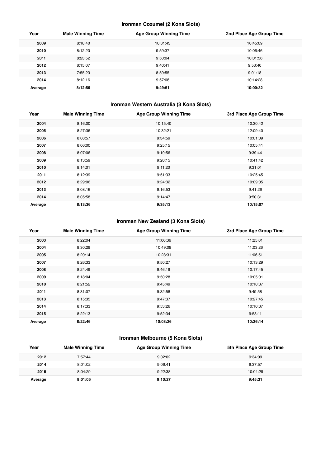## **Ironman Cozumel (2 Kona Slots)**

| Year    | <b>Male Winning Time</b> | <b>Age Group Winning Time</b> | 2nd Place Age Group Time |
|---------|--------------------------|-------------------------------|--------------------------|
| 2009    | 8:18:40                  | 10:31:43                      | 10:45:09                 |
| 2010    | 8:12:20                  | 9:59:37                       | 10:06:46                 |
| 2011    | 8:23:52                  | 9:50:04                       | 10:01:56                 |
| 2012    | 8:15:07                  | 9:40:41                       | 9:53:40                  |
| 2013    | 7:55:23                  | 8:59:55                       | 9:01:18                  |
| 2014    | 8:12:16                  | 9:57:08                       | 10:14:28                 |
| Average | 8:12:56                  | 9:49:51                       | 10:00:32                 |

## **Ironman Western Australia (3 Kona Slots)**

| Year    | <b>Male Winning Time</b> | <b>Age Group Winning Time</b> | 3rd Place Age Group Time |
|---------|--------------------------|-------------------------------|--------------------------|
| 2004    | 8:16:00                  | 10:15:40                      | 10:30:42                 |
| 2005    | 8:27:36                  | 10:32:21                      | 12:09:40                 |
| 2006    | 8:08:57                  | 9:34:59                       | 10:01:09                 |
| 2007    | 8:06:00                  | 9:25:15                       | 10:05:41                 |
| 2008    | 8:07:06                  | 9:19:56                       | 9:39:44                  |
| 2009    | 8:13:59                  | 9:20:15                       | 10:41:42                 |
| 2010    | 8:14:01                  | 9:11:20                       | 9:31:01                  |
| 2011    | 8:12:39                  | 9:51:33                       | 10:25:45                 |
| 2012    | 8:29:06                  | 9:24:32                       | 10:09:05                 |
| 2013    | 8:08:16                  | 9:16:53                       | 9:41:26                  |
| 2014    | 8:05:58                  | 9:14:47                       | 9:50:31                  |
| Average | 8:13:36                  | 9:35:13                       | 10:15:07                 |

## **Ironman New Zealand (3 Kona Slots)**

| Year    | <b>Male Winning Time</b> | <b>Age Group Winning Time</b> | 3rd Place Age Group Time |
|---------|--------------------------|-------------------------------|--------------------------|
| 2003    | 8:22:04                  | 11:00:36                      | 11:25:01                 |
| 2004    | 8:30:29                  | 10:49:09                      | 11:03:26                 |
| 2005    | 8:20:14                  | 10:28:31                      | 11:06:51                 |
| 2007    | 8:26:33                  | 9:50:27                       | 10:13:29                 |
| 2008    | 8:24:49                  | 9:46:19                       | 10:17:45                 |
| 2009    | 8:18:04                  | 9:50:28                       | 10:05:01                 |
| 2010    | 8:21:52                  | 9:45:49                       | 10:10:37                 |
| 2011    | 8:31:07                  | 9:32:58                       | 9:49:58                  |
| 2013    | 8:15:35                  | 9:47:37                       | 10:27:45                 |
| 2014    | 8:17:33                  | 9:53:26                       | 10:10:37                 |
| 2015    | 8:22:13                  | 9:52:34                       | 9:58:11                  |
| Average | 8:22:46                  | 10:03:26                      | 10:26:14                 |

## **Ironman Melbourne (5 Kona Slots)**

| Year    | <b>Male Winning Time</b> | <b>Age Group Winning Time</b> | 5th Place Age Group Time |
|---------|--------------------------|-------------------------------|--------------------------|
| 2012    | 7:57:44                  | 9:02:02                       | 9:34:09                  |
| 2014    | 8:01:02                  | 9:06:41                       | 9:37:57                  |
| 2015    | 8:04:29                  | 9:22:38                       | 10:04:29                 |
| Average | 8:01:05                  | 9:10:27                       | 9:45:31                  |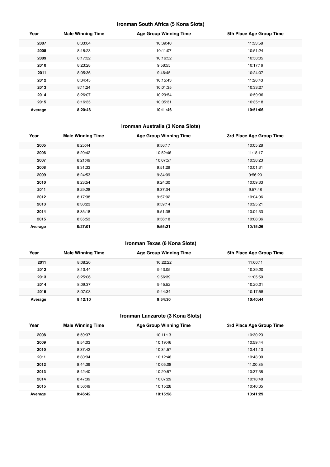## **Ironman South Africa (5 Kona Slots)**

| Year    | <b>Male Winning Time</b> | <b>Age Group Winning Time</b> | 5th Place Age Group Time |
|---------|--------------------------|-------------------------------|--------------------------|
| 2007    | 8:33:04                  | 10:39:40                      | 11:33:58                 |
| 2008    | 8:18:23                  | 10:11:07                      | 10:51:24                 |
| 2009    | 8:17:32                  | 10:16:52                      | 10:58:05                 |
| 2010    | 8:23:28                  | 9:58:55                       | 10:17:19                 |
| 2011    | 8:05:36                  | 9:46:45                       | 10:24:07                 |
| 2012    | 8:34:45                  | 10:15:43                      | 11:26:43                 |
| 2013    | 8:11:24                  | 10:01:35                      | 10:33:27                 |
| 2014    | 8:26:07                  | 10:29:54                      | 10:59:36                 |
| 2015    | 8:16:35                  | 10:05:31                      | 10:35:18                 |
| Average | 8:20:46                  | 10:11:46                      | 10:51:06                 |

## **Ironman Australia (3 Kona Slots)**

| Year    | <b>Male Winning Time</b> | <b>Age Group Winning Time</b> | 3rd Place Age Group Time |
|---------|--------------------------|-------------------------------|--------------------------|
| 2005    | 8:25:44                  | 9:56:17                       | 10:05:28                 |
| 2006    | 8:20:42                  | 10:52:46                      | 11:18:17                 |
| 2007    | 8:21:49                  | 10:07:57                      | 10:38:23                 |
| 2008    | 8:31:33                  | 9:51:29                       | 10:01:31                 |
| 2009    | 8:24:53                  | 9:34:09                       | 9:56:20                  |
| 2010    | 8:23:54                  | 9:24:30                       | 10:09:33                 |
| 2011    | 8:29:28                  | 9:37:34                       | 9:57:48                  |
| 2012    | 8:17:38                  | 9:57:02                       | 10:04:06                 |
| 2013    | 8:30:23                  | 9:59:14                       | 10:25:21                 |
| 2014    | 8:35:18                  | 9:51:38                       | 10:04:33                 |
| 2015    | 8:35:53                  | 9:56:18                       | 10:08:36                 |
| Average | 8:27:01                  | 9:55:21                       | 10:15:26                 |

## **Ironman Texas (6 Kona Slots)**

| Year    | <b>Male Winning Time</b> | <b>Age Group Winning Time</b> | 6th Place Age Group Time |
|---------|--------------------------|-------------------------------|--------------------------|
| 2011    | 8:08:20                  | 10:22:22                      | 11:00:11                 |
| 2012    | 8:10:44                  | 9:43:05                       | 10:39:20                 |
| 2013    | 8:25:06                  | 9:56:39                       | 11:05:50                 |
| 2014    | 8:09:37                  | 9:45:52                       | 10:20:21                 |
| 2015    | 8:07:03                  | 9:44:34                       | 10:17:58                 |
| Average | 8:12:10                  | 9:54:30                       | 10:40:44                 |

## **Ironman Lanzarote (3 Kona Slots)**

| Year    | <b>Male Winning Time</b> | <b>Age Group Winning Time</b> | 3rd Place Age Group Time |
|---------|--------------------------|-------------------------------|--------------------------|
| 2008    | 8:59:37                  | 10:11:13                      | 10:30:23                 |
| 2009    | 8:54:03                  | 10:19:46                      | 10:59:44                 |
| 2010    | 8:37:42                  | 10:34:57                      | 10:41:13                 |
| 2011    | 8:30:34                  | 10:12:46                      | 10:43:00                 |
| 2012    | 8:44:39                  | 10:05:08                      | 11:00:35                 |
| 2013    | 8:42:40                  | 10:20:57                      | 10:37:38                 |
| 2014    | 8:47:39                  | 10:07:29                      | 10:18:48                 |
| 2015    | 8:56:49                  | 10:15:28                      | 10:40:35                 |
| Average | 8:46:42                  | 10:15:58                      | 10:41:29                 |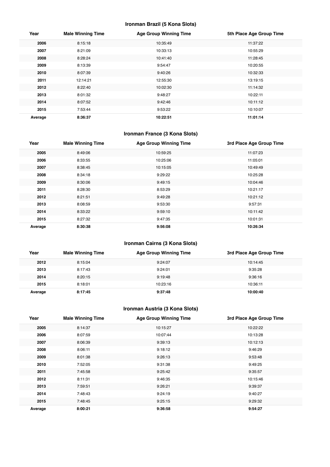## **Ironman Brazil (5 Kona Slots)**

| Year    | <b>Male Winning Time</b> | <b>Age Group Winning Time</b> | 5th Place Age Group Time |
|---------|--------------------------|-------------------------------|--------------------------|
| 2006    | 8:15:18                  | 10:35:49                      | 11:37:22                 |
| 2007    | 8:21:09                  | 10:33:13                      | 10:55:29                 |
| 2008    | 8:28:24                  | 10:41:40                      | 11:28:45                 |
| 2009    | 8:13:39                  | 9:54:47                       | 10:20:55                 |
| 2010    | 8:07:39                  | 9:40:26                       | 10:32:33                 |
| 2011    | 12:14:21                 | 12:55:30                      | 13:19:15                 |
| 2012    | 8:22:40                  | 10:02:30                      | 11:14:32                 |
| 2013    | 8:01:32                  | 9:48:27                       | 10:22:11                 |
| 2014    | 8:07:52                  | 9:42:46                       | 10:11:12                 |
| 2015    | 7:53:44                  | 9:53:22                       | 10:10:07                 |
| Average | 8:36:37                  | 10:22:51                      | 11:01:14                 |

## **Ironman France (3 Kona Slots)**

| Year    | <b>Male Winning Time</b> | <b>Age Group Winning Time</b> | 3rd Place Age Group Time |
|---------|--------------------------|-------------------------------|--------------------------|
| 2005    | 8:49:06                  | 10:59:25                      | 11:07:23                 |
| 2006    | 8:33:55                  | 10:25:06                      | 11:05:01                 |
| 2007    | 8:38:45                  | 10:15:05                      | 10:49:49                 |
| 2008    | 8:34:18                  | 9:29:22                       | 10:25:28                 |
| 2009    | 8:30:06                  | 9:49:15                       | 10:04:46                 |
| 2011    | 8:28:30                  | 8:53:29                       | 10:21:17                 |
| 2012    | 8:21:51                  | 9:49:28                       | 10:21:12                 |
| 2013    | 8:08:59                  | 9:53:30                       | 9:57:31                  |
| 2014    | 8:33:22                  | 9:59:10                       | 10:11:42                 |
| 2015    | 8:27:32                  | 9:47:35                       | 10:01:31                 |
| Average | 8:30:38                  | 9:56:08                       | 10:26:34                 |

## **Ironman Cairns (3 Kona Slots)**

| Year    | <b>Male Winning Time</b> | <b>Age Group Winning Time</b> | 3rd Place Age Group Time |
|---------|--------------------------|-------------------------------|--------------------------|
| 2012    | 8:15:04                  | 9:24:07                       | 10:14:45                 |
| 2013    | 8:17:43                  | 9:24:01                       | 9:35:28                  |
| 2014    | 8:20:15                  | 9:19:48                       | 9:36:16                  |
| 2015    | 8:18:01                  | 10:23:16                      | 10:36:11                 |
| Average | 8:17:45                  | 9:37:48                       | 10:00:40                 |

## **Ironman Austria (3 Kona Slots)**

| Year    | <b>Male Winning Time</b> | <b>Age Group Winning Time</b> | 3rd Place Age Group Time |
|---------|--------------------------|-------------------------------|--------------------------|
| 2005    | 8:14:37                  | 10:15:27                      | 10:22:22                 |
| 2006    | 8:07:59                  | 10:07:44                      | 10:13:28                 |
| 2007    | 8:06:39                  | 9:39:13                       | 10:12:13                 |
| 2008    | 8:06:11                  | 9:18:12                       | 9:46:29                  |
| 2009    | 8:01:38                  | 9:26:13                       | 9:53:48                  |
| 2010    | 7:52:05                  | 9:31:38                       | 9:49:25                  |
| 2011    | 7:45:58                  | 9:25:42                       | 9:35:57                  |
| 2012    | 8:11:31                  | 9:46:35                       | 10:15:46                 |
| 2013    | 7:59:51                  | 9:26:21                       | 9:39:37                  |
| 2014    | 7:48:43                  | 9:24:19                       | 9:40:27                  |
| 2015    | 7:48:45                  | 9:25:15                       | 9:29:32                  |
| Average | 8:00:21                  | 9:36:58                       | 9:54:27                  |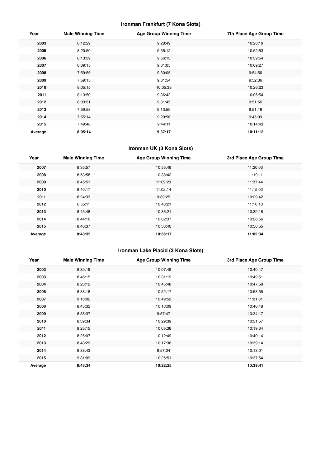## **Ironman Frankfurt (7 Kona Slots)**

| Year    | <b>Male Winning Time</b> | <b>Age Group Winning Time</b> | 7th Place Age Group Time |
|---------|--------------------------|-------------------------------|--------------------------|
| 2003    | 8:12:29                  | 9:28:49                       | 10:28:19                 |
| 2005    | 8:20:50                  | 9:56:12                       | 10:52:53                 |
| 2006    | 8:13:39                  | 9:56:13                       | 10:39:54                 |
| 2007    | 8:09:15                  | 9:31:05                       | 10:09:27                 |
| 2008    | 7:59:55                  | 9:30:05                       | 9:54:56                  |
| 2009    | 7:59:15                  | 9:31:54                       | 9:52:36                  |
| 2010    | 8:05:15                  | 10:05:33                      | 10:26:23                 |
| 2011    | 8:13:50                  | 9:36:42                       | 10:06:54                 |
| 2012    | 8:03:31                  | 9:31:45                       | 9:51:56                  |
| 2013    | 7:59:58                  | 9:13:59                       | 9:51:16                  |
| 2014    | 7:55:14                  | 9:20:56                       | 9:45:09                  |
| 2015    | 7:49:48                  | 9:44:11                       | 10:14:43                 |
| Average | 8:05:14                  | 9:37:17                       | 10:11:12                 |

## **Ironman UK (3 Kona Slots)**

| Year    | <b>Male Winning Time</b> | <b>Age Group Winning Time</b> | 3rd Place Age Group Time |
|---------|--------------------------|-------------------------------|--------------------------|
| 2007    | 8:35:57                  | 10:55:48                      | 11:20:03                 |
| 2008    | 8:53:58                  | 10:38:42                      | 11:19:11                 |
| 2009    | 8:45:51                  | 11:09:29                      | 11:37:44                 |
| 2010    | 8:40:17                  | 11:02:14                      | 11:15:02                 |
| 2011    | 8:24:33                  | 9:39:25                       | 10:29:42                 |
| 2012    | 8:55:11                  | 10:48:21                      | 11:16:18                 |
| 2013    | 8:45:48                  | 10:36:21                      | 10:39:18                 |
| 2014    | 8:44:10                  | 10:02:37                      | 10:28:56                 |
| 2015    | 8:46:37                  | 10:33:40                      | 10:56:55                 |
| Average | 8:43:35                  | 10:36:17                      | 11:02:34                 |

## **Ironman Lake Placid (3 Kona Slots)**

| Year    | <b>Male Winning Time</b> | <b>Age Group Winning Time</b> | 3rd Place Age Group Time |
|---------|--------------------------|-------------------------------|--------------------------|
| 2002    | 8:39:19                  | 10:07:48                      | 10:40:47                 |
| 2003    | 8:46:15                  | 10:31:19                      | 10:49:51                 |
| 2004    | 8:23:12                  | 10:45:48                      | 10:47:58                 |
| 2006    | 8:38:18                  | 10:52:17                      | 10:58:55                 |
| 2007    | 9:16:02                  | 10:49:52                      | 11:01:31                 |
| 2008    | 8:43:32                  | 10:18:09                      | 10:40:48                 |
| 2009    | 8:36:37                  | 9:57:47                       | 10:34:17                 |
| 2010    | 8:39:34                  | 10:29:39                      | 10:31:57                 |
| 2011    | 8:25:15                  | 10:05:38                      | 10:19:34                 |
| 2012    | 8:25:07                  | 10:12:49                      | 10:40:14                 |
| 2013    | 8:43:29                  | 10:17:36                      | 10:39:14                 |
| 2014    | 8:38:43                  | 9:57:04                       | 10:13:01                 |
| 2015    | 9:31:09                  | 10:25:51                      | 10:37:54                 |
| Average | 8:43:34                  | 10:22:25                      | 10:39:41                 |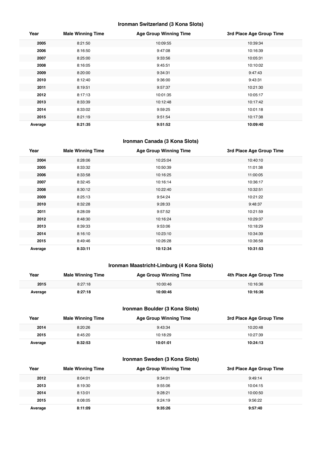## **Ironman Switzerland (3 Kona Slots)**

| Year    | <b>Male Winning Time</b> | <b>Age Group Winning Time</b> | 3rd Place Age Group Time |
|---------|--------------------------|-------------------------------|--------------------------|
| 2005    | 8:21:50                  | 10:09:55                      | 10:39:34                 |
| 2006    | 8:16:50                  | 9:47:08                       | 10:16:39                 |
| 2007    | 8:25:00                  | 9:33:56                       | 10:05:31                 |
| 2008    | 8:16:05                  | 9:45:51                       | 10:10:02                 |
| 2009    | 8:20:00                  | 9:34:31                       | 9:47:43                  |
| 2010    | 8:12:40                  | 9:36:00                       | 9:43:31                  |
| 2011    | 8:19:51                  | 9:57:37                       | 10:21:30                 |
| 2012    | 8:17:13                  | 10:01:35                      | 10:05:17                 |
| 2013    | 8:33:39                  | 10:12:48                      | 10:17:42                 |
| 2014    | 8:33:02                  | 9:59:25                       | 10:01:18                 |
| 2015    | 8:21:19                  | 9:51:54                       | 10:17:38                 |
| Average | 8:21:35                  | 9:51:52                       | 10:09:40                 |

## **Ironman Canada (3 Kona Slots)**

| Year    | <b>Male Winning Time</b> | <b>Age Group Winning Time</b> | 3rd Place Age Group Time |
|---------|--------------------------|-------------------------------|--------------------------|
| 2004    | 8:28:06                  | 10:25:04                      | 10:40:10                 |
| 2005    | 8:33:32                  | 10:50:39                      | 11:01:38                 |
| 2006    | 8:33:58                  | 10:16:25                      | 11:00:05                 |
| 2007    | 8:32:45                  | 10:16:14                      | 10:36:17                 |
| 2008    | 8:30:12                  | 10:22:40                      | 10:32:51                 |
| 2009    | 8:25:13                  | 9:54:24                       | 10:21:22                 |
| 2010    | 8:32:28                  | 9:28:33                       | 9:48:37                  |
| 2011    | 8:28:09                  | 9:57:52                       | 10:21:59                 |
| 2012    | 8:48:30                  | 10:16:24                      | 10:29:37                 |
| 2013    | 8:39:33                  | 9:53:06                       | 10:18:29                 |
| 2014    | 8:16:10                  | 10:23:10                      | 10:34:39                 |
| 2015    | 8:49:46                  | 10:26:28                      | 10:36:58                 |
| Average | 8:33:11                  | 10:12:34                      | 10:31:53                 |

## **Ironman Maastricht-Limburg (4 Kona Slots)**

| Year    | <b>Male Winning Time</b> | <b>Age Group Winning Time</b> | 4th Place Age Group Time |
|---------|--------------------------|-------------------------------|--------------------------|
| 2015    | 8:27:18                  | 10:00:46                      | 10:16:36                 |
| Average | 8:27:18                  | 10:00:46                      | 10:16:36                 |

## **Ironman Boulder (3 Kona Slots)**

| Year    | <b>Male Winning Time</b> | <b>Age Group Winning Time</b> | 3rd Place Age Group Time |
|---------|--------------------------|-------------------------------|--------------------------|
| 2014    | 8:20:26                  | 9:43:34                       | 10:20:48                 |
| 2015    | 8:45:20                  | 10:18:29                      | 10:27:39                 |
| Average | 8:32:53                  | 10:01:01                      | 10:24:13                 |

## **Ironman Sweden (3 Kona Slots)**

| Year    | <b>Male Winning Time</b> | <b>Age Group Winning Time</b> | 3rd Place Age Group Time |
|---------|--------------------------|-------------------------------|--------------------------|
| 2012    | 8:04:01                  | 9:34:01                       | 9:49:14                  |
| 2013    | 8:19:30                  | 9:55:06                       | 10:04:15                 |
| 2014    | 8:13:01                  | 9:28:21                       | 10:00:50                 |
| 2015    | 8:08:05                  | 9:24:19                       | 9:56:22                  |
| Average | 8:11:09                  | 9:35:26                       | 9:57:40                  |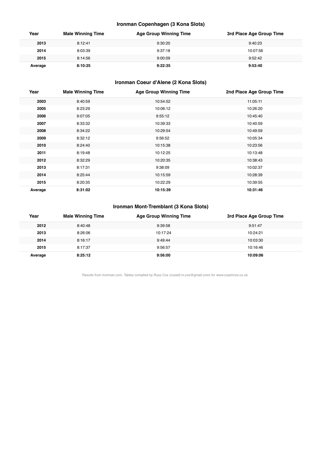## **Ironman Copenhagen (3 Kona Slots)**

| Year    | <b>Male Winning Time</b> | <b>Age Group Winning Time</b> | 3rd Place Age Group Time |
|---------|--------------------------|-------------------------------|--------------------------|
| 2013    | 8:12:41                  | 9:30:20                       | 9:40:23                  |
| 2014    | 8:03:39                  | 9:37:18                       | 10:07:56                 |
| 2015    | 8:14:56                  | 9:00:09                       | 9:52:42                  |
| Average | 8:10:25                  | 9:22:35                       | 9:53:40                  |

## **Ironman Coeur d'Alene (2 Kona Slots)**

| Year    | <b>Male Winning Time</b> | <b>Age Group Winning Time</b> | 2nd Place Age Group Time |
|---------|--------------------------|-------------------------------|--------------------------|
| 2003    | 8:40:59                  | 10:54:52                      | 11:05:11                 |
| 2005    | 8:23:29                  | 10:06:12                      | 10:26:20                 |
| 2006    | 9:07:05                  | 9:55:12                       | 10:45:40                 |
| 2007    | 8:33:32                  | 10:39:33                      | 10:40:59                 |
| 2008    | 8:34:22                  | 10:29:54                      | 10:49:59                 |
| 2009    | 8:32:12                  | 9:56:52                       | 10:05:34                 |
| 2010    | 8:24:40                  | 10:15:38                      | 10:23:56                 |
| 2011    | 8:19:48                  | 10:12:25                      | 10:13:48                 |
| 2012    | 8:32:29                  | 10:20:35                      | 10:38:43                 |
| 2013    | 8:17:31                  | 9:38:09                       | 10:02:37                 |
| 2014    | 8:25:44                  | 10:15:59                      | 10:28:39                 |
| 2015    | 8:20:35                  | 10:22:29                      | 10:39:55                 |
| Average | 8:31:02                  | 10:15:39                      | 10:31:46                 |

## **Ironman Mont-Tremblant (3 Kona Slots)**

| Year    | <b>Male Winning Time</b> | <b>Age Group Winning Time</b> | 3rd Place Age Group Time |
|---------|--------------------------|-------------------------------|--------------------------|
| 2012    | 8:40:48                  | 9:39:58                       | 9:51:47                  |
| 2013    | 8:26:06                  | 10:17:24                      | 10:24:21                 |
| 2014    | 8:16:17                  | 9:49:44                       | 10:03:30                 |
| 2015    | 8:17:37                  | 9:56:57                       | 10:16:46                 |
| Average | 8:25:12                  | 9:56:00                       | 10:09:06                 |

Results from Ironman.com. Tables compiled by Russ Cox (russell.m.cox@gmail.com) for www.coachcox.co.uk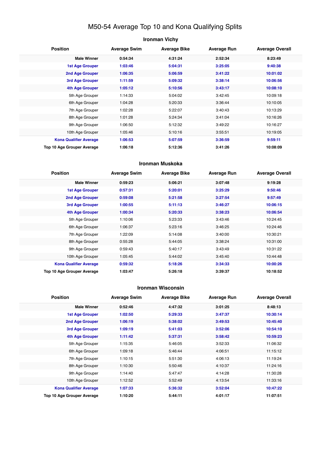## M50-54 Average Top 10 and Kona Qualifying Splits

## **Ironman Vichy Position Average Swim Average Bike Average Run Average Overall Male Winner 0:54:34 4:31:24 2:52:34 8:23:49 1st Age Grouper 1:03:46 5:04:31 3:25:05 9:40:38 2nd Age Grouper 1:06:35 5:06:59 3:41:22 10:01:02 3rd Age Grouper 1:11:59 5:09:32 3:38:14 10:06:56 4th Age Grouper 1:05:12 5:10:56 3:43:17 10:08:10** 5th Age Grouper 1:14:33 5:04:02 3:42:45 10:09:18 6th Age Grouper 1:04:28 5:20:33 3:36:44 10:10:05 7th Age Grouper 1:02:28 5:22:07 3:40:43 10:13:29 8th Age Grouper 1:01:28 5:24:34 3:41:04 10:16:26 9th Age Grouper 1:06:50 5:12:32 3:49:22 10:16:27 10th Age Grouper 1:05:46 5:10:16 3:55:51 10:19:05 **Kona Qualifier Average 1:06:53 5:07:59 3:36:59 9:59:11 Top 10 Age Grouper Average 1:06:18 5:12:36 3:41:26 10:08:09**

#### **Ironman Muskoka**

| <b>Position</b>                   | <b>Average Swim</b> | <b>Average Bike</b> | <b>Average Run</b> | <b>Average Overall</b> |
|-----------------------------------|---------------------|---------------------|--------------------|------------------------|
| <b>Male Winner</b>                | 0:59:23             | 5:06:21             | 3:07:48            | 9:19:28                |
| <b>1st Age Grouper</b>            | 0:57:31             | 5:20:01             | 3:25:29            | 9:50:46                |
| 2nd Age Grouper                   | 0:59:08             | 5:21:58             | 3:27:54            | 9:57:49                |
| 3rd Age Grouper                   | 1:00:55             | 5:11:13             | 3:46:27            | 10:06:15               |
| 4th Age Grouper                   | 1:00:34             | 5:20:33             | 3:38:23            | 10:06:54               |
| 5th Age Grouper                   | 1:10:06             | 5:23:33             | 3:43:46            | 10:24:45               |
| 6th Age Grouper                   | 1:06:37             | 5:23:16             | 3:46:25            | 10:24:46               |
| 7th Age Grouper                   | 1:22:09             | 5:14:08             | 3:40:00            | 10:30:21               |
| 8th Age Grouper                   | 0:55:28             | 5:44:05             | 3:38:24            | 10:31:00               |
| 9th Age Grouper                   | 0:59:43             | 5:40:17             | 3:43:49            | 10:31:22               |
| 10th Age Grouper                  | 1:05:45             | 5:44:02             | 3:45:40            | 10:44:48               |
| <b>Kona Qualifier Average</b>     | 0:59:32             | 5:18:26             | 3:34:33            | 10:00:26               |
| <b>Top 10 Age Grouper Average</b> | 1:03:47             | 5:26:18             | 3:39:37            | 10:18:52               |

#### **Ironman Wisconsin**

| <b>Position</b>               | <b>Average Swim</b> | <b>Average Bike</b> | <b>Average Run</b> | <b>Average Overall</b> |
|-------------------------------|---------------------|---------------------|--------------------|------------------------|
| <b>Male Winner</b>            | 0:52:46             | 4:47:32             | 3:01:25            | 8:48:13                |
| 1st Age Grouper               | 1:02:50             | 5:29:33             | 3:47:37            | 10:30:14               |
| 2nd Age Grouper               | 1:06:19             | 5:38:02             | 3:49:53            | 10:45:40               |
| 3rd Age Grouper               | 1:09:19             | 5:41:03             | 3:52:06            | 10:54:10               |
| 4th Age Grouper               | 1:11:42             | 5:37:31             | 3:58:42            | 10:59:23               |
| 5th Age Grouper               | 1:15:35             | 5:46:05             | 3:52:33            | 11:06:32               |
| 6th Age Grouper               | 1:09:18             | 5:46:44             | 4:06:51            | 11:15:12               |
| 7th Age Grouper               | 1:10:15             | 5:51:30             | 4:06:13            | 11:19:24               |
| 8th Age Grouper               | 1:10:30             | 5:50:46             | 4:10:37            | 11:24:16               |
| 9th Age Grouper               | 1:14:40             | 5:47:47             | 4:14:28            | 11:30:28               |
| 10th Age Grouper              | 1:12:52             | 5:52:49             | 4:13:54            | 11:33:16               |
| <b>Kona Qualifier Average</b> | 1:07:33             | 5:36:32             | 3:52:04            | 10:47:22               |
| Top 10 Age Grouper Average    | 1:10:20             | 5:44:11             | 4:01:17            | 11:07:51               |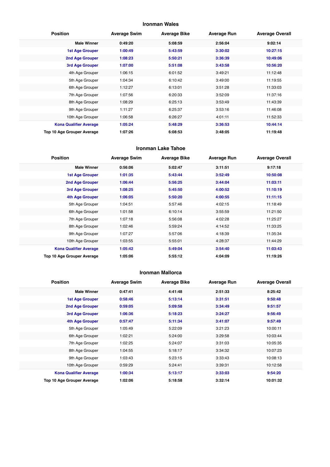## **Ironman Wales**

| <b>Position</b>               | <b>Average Swim</b> | <b>Average Bike</b> | <b>Average Run</b> | <b>Average Overall</b> |
|-------------------------------|---------------------|---------------------|--------------------|------------------------|
| <b>Male Winner</b>            | 0:49:20             | 5:08:59             | 2:56:04            | 9:02:14                |
| <b>1st Age Grouper</b>        | 1:00:49             | 5:43:59             | 3:30:02            | 10:27:15               |
| 2nd Age Grouper               | 1:08:23             | 5:50:21             | 3:36:39            | 10:49:06               |
| <b>3rd Age Grouper</b>        | 1:07:00             | 5:51:08             | 3:43:58            | 10:56:20               |
| 4th Age Grouper               | 1:06:15             | 6:01:52             | 3:49:21            | 11:12:48               |
| 5th Age Grouper               | 1:04:34             | 6:10:42             | 3:49:00            | 11:19:55               |
| 6th Age Grouper               | 1:12:27             | 6:13:01             | 3:51:28            | 11:33:03               |
| 7th Age Grouper               | 1:07:56             | 6:20:33             | 3:52:09            | 11:37:16               |
| 8th Age Grouper               | 1:08:29             | 6:25:13             | 3:53:49            | 11:43:39               |
| 9th Age Grouper               | 1:11:27             | 6:25:37             | 3:53:16            | 11:46:08               |
| 10th Age Grouper              | 1:06:58             | 6:26:27             | 4:01:11            | 11:52:33               |
| <b>Kona Qualifier Average</b> | 1:05:24             | 5:48:29             | 3:36:53            | 10:44:14               |
| Top 10 Age Grouper Average    | 1:07:26             | 6:08:53             | 3:48:05            | 11:19:48               |

#### **Ironman Lake Tahoe**

| <b>Position</b>               | <b>Average Swim</b> | <b>Average Bike</b> | <b>Average Run</b> | <b>Average Overall</b> |
|-------------------------------|---------------------|---------------------|--------------------|------------------------|
| <b>Male Winner</b>            | 0:56:06             | 5:02:47             | 3:11:51            | 9:17:18                |
| <b>1st Age Grouper</b>        | 1:01:35             | 5:43:44             | 3:52:49            | 10:50:08               |
| 2nd Age Grouper               | 1:06:44             | 5:56:25             | 3:44:04            | 11:03:11               |
| <b>3rd Age Grouper</b>        | 1:08:25             | 5:45:50             | 4:00:52            | 11:10:19               |
| <b>4th Age Grouper</b>        | 1:06:05             | 5:50:20             | 4:00:55            | 11:11:15               |
| 5th Age Grouper               | 1:04:51             | 5:57:46             | 4:02:15            | 11:18:49               |
| 6th Age Grouper               | 1:01:58             | 6:10:14             | 3:55:59            | 11:21:50               |
| 7th Age Grouper               | 1:07:18             | 5:56:08             | 4:02:28            | 11:25:27               |
| 8th Age Grouper               | 1:02:46             | 5:59:24             | 4:14:52            | 11:33:25               |
| 9th Age Grouper               | 1:07:27             | 5:57:06             | 4:18:39            | 11:35:34               |
| 10th Age Grouper              | 1:03:55             | 5:55:01             | 4:28:37            | 11:44:29               |
| <b>Kona Qualifier Average</b> | 1:05:42             | 5:49:04             | 3:54:40            | 11:03:43               |
| Top 10 Age Grouper Average    | 1:05:06             | 5:55:12             | 4:04:09            | 11:19:26               |

#### **Ironman Mallorca**

| <b>Position</b>               | <b>Average Swim</b> | <b>Average Bike</b> | <b>Average Run</b> | <b>Average Overall</b> |
|-------------------------------|---------------------|---------------------|--------------------|------------------------|
| <b>Male Winner</b>            | 0:47:41             | 4:41:48             | 2:51:33            | 8:25:42                |
| <b>1st Age Grouper</b>        | 0:58:46             | 5:13:14             | 3:31:51            | 9:50:48                |
| 2nd Age Grouper               | 0:59:05             | 5:09:58             | 3:34:49            | 9:51:57                |
| 3rd Age Grouper               | 1:06:36             | 5:18:23             | 3:24:27            | 9:56:49                |
| 4th Age Grouper               | 0:57:47             | 5:11:34             | 3:41:07            | 9:57:49                |
| 5th Age Grouper               | 1:05:49             | 5:22:09             | 3:21:23            | 10:00:11               |
| 6th Age Grouper               | 1:02:21             | 5:24:00             | 3:29:58            | 10:03:44               |
| 7th Age Grouper               | 1:02:25             | 5:24:07             | 3:31:03            | 10:05:35               |
| 8th Age Grouper               | 1:04:55             | 5:18:17             | 3:34:32            | 10:07:23               |
| 9th Age Grouper               | 1:03:43             | 5:23:15             | 3:33:43            | 10:08:13               |
| 10th Age Grouper              | 0:59:29             | 5:24:41             | 3:39:31            | 10:12:58               |
| <b>Kona Qualifier Average</b> | 1:00:34             | 5:13:17             | 3:33:03            | 9:54:20                |
| Top 10 Age Grouper Average    | 1:02:06             | 5:18:58             | 3:32:14            | 10:01:32               |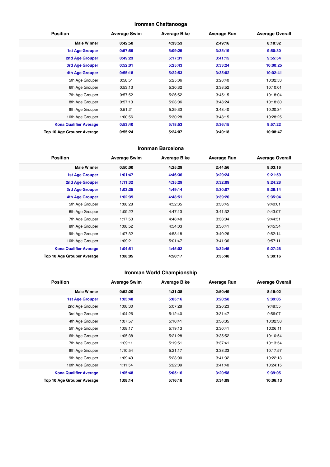## **Ironman Chattanooga**

| <b>Position</b>               | <b>Average Swim</b> | <b>Average Bike</b> | <b>Average Run</b> | <b>Average Overall</b> |
|-------------------------------|---------------------|---------------------|--------------------|------------------------|
| <b>Male Winner</b>            | 0:42:50             | 4:33:53             | 2:49:16            | 8:10:32                |
| <b>1st Age Grouper</b>        | 0:57:59             | 5:09:25             | 3:35:19            | 9:50:30                |
| 2nd Age Grouper               | 0:49:23             | 5:17:31             | 3:41:15            | 9:55:54                |
| 3rd Age Grouper               | 0:52:01             | 5:25:43             | 3:33:24            | 10:00:25               |
| 4th Age Grouper               | 0:55:18             | 5:22:53             | 3:35:02            | 10:02:41               |
| 5th Age Grouper               | 0:58:51             | 5:25:06             | 3:28:40            | 10:02:53               |
| 6th Age Grouper               | 0:53:13             | 5:30:32             | 3:38:52            | 10:10:01               |
| 7th Age Grouper               | 0:57:52             | 5:26:52             | 3:45:15            | 10:18:04               |
| 8th Age Grouper               | 0:57:13             | 5:23:06             | 3:48:24            | 10:18:30               |
| 9th Age Grouper               | 0:51:21             | 5:29:33             | 3:48:40            | 10:20:34               |
| 10th Age Grouper              | 1:00:56             | 5:30:28             | 3:48:15            | 10:28:25               |
| <b>Kona Qualifier Average</b> | 0:53:40             | 5:18:53             | 3:36:15            | 9:57:22                |
| Top 10 Age Grouper Average    | 0:55:24             | 5:24:07             | 3:40:18            | 10:08:47               |

#### **Ironman Barcelona**

| <b>Position</b>               | <b>Average Swim</b> | <b>Average Bike</b> | <b>Average Run</b> | <b>Average Overall</b> |
|-------------------------------|---------------------|---------------------|--------------------|------------------------|
| <b>Male Winner</b>            | 0:50:00             | 4:25:29             | 2:44:56            | 8:03:16                |
| <b>1st Age Grouper</b>        | 1:01:47             | 4:46:36             | 3:29:24            | 9:21:59                |
| 2nd Age Grouper               | 1:11:32             | 4:35:29             | 3:32:09            | 9:24:28                |
| 3rd Age Grouper               | 1:03:25             | 4:49:14             | 3:30:07            | 9:28:14                |
| 4th Age Grouper               | 1:02:39             | 4:48:51             | 3:39:20            | 9:35:04                |
| 5th Age Grouper               | 1:08:28             | 4:52:35             | 3:33:45            | 9:40:01                |
| 6th Age Grouper               | 1:09:22             | 4:47:13             | 3:41:32            | 9:43:07                |
| 7th Age Grouper               | 1:17:53             | 4:48:48             | 3:33:04            | 9:44:51                |
| 8th Age Grouper               | 1:08:52             | 4:54:03             | 3:36:41            | 9:45:34                |
| 9th Age Grouper               | 1:07:32             | 4:58:18             | 3:40:26            | 9:52:14                |
| 10th Age Grouper              | 1:09:21             | 5:01:47             | 3:41:36            | 9:57:11                |
| <b>Kona Qualifier Average</b> | 1:04:51             | 4:45:02             | 3:32:45            | 9:27:26                |
| Top 10 Age Grouper Average    | 1:08:05             | 4:50:17             | 3:35:48            | 9:39:16                |

## **Ironman World Championship**

| <b>Position</b>               | <b>Average Swim</b> | <b>Average Bike</b> | <b>Average Run</b> | <b>Average Overall</b> |
|-------------------------------|---------------------|---------------------|--------------------|------------------------|
| <b>Male Winner</b>            | 0:52:20             | 4:31:38             | 2:50:49            | 8:19:02                |
| <b>1st Age Grouper</b>        | 1:05:48             | 5:05:16             | 3:20:58            | 9:39:05                |
| 2nd Age Grouper               | 1:08:30             | 5:07:28             | 3:26:23            | 9:48:55                |
| 3rd Age Grouper               | 1:04:26             | 5:12:40             | 3:31:47            | 9:56:07                |
| 4th Age Grouper               | 1:07:57             | 5:10:41             | 3:36:35            | 10:02:38               |
| 5th Age Grouper               | 1:08:17             | 5:19:13             | 3:30:41            | 10:06:11               |
| 6th Age Grouper               | 1:05:38             | 5:21:28             | 3:35:52            | 10:10:54               |
| 7th Age Grouper               | 1:09:11             | 5:19:51             | 3:37:41            | 10:13:54               |
| 8th Age Grouper               | 1:10:54             | 5:21:17             | 3:38:23            | 10:17:57               |
| 9th Age Grouper               | 1:09:49             | 5:23:00             | 3:41:32            | 10:22:13               |
| 10th Age Grouper              | 1:11:54             | 5:22:09             | 3:41:40            | 10:24:15               |
| <b>Kona Qualifier Average</b> | 1:05:48             | 5:05:16             | 3:20:58            | 9:39:05                |
| Top 10 Age Grouper Average    | 1:08:14             | 5:16:18             | 3:34:09            | 10:06:13               |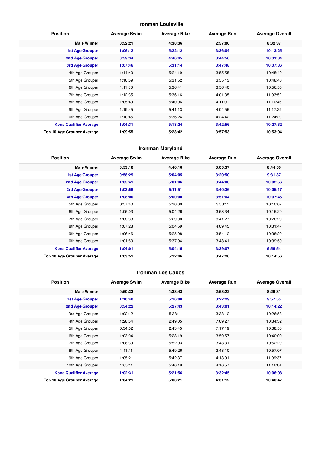## **Ironman Louisville**

| <b>Position</b>               | <b>Average Swim</b> | <b>Average Bike</b> | <b>Average Run</b> | <b>Average Overall</b> |
|-------------------------------|---------------------|---------------------|--------------------|------------------------|
| <b>Male Winner</b>            | 0:52:21             | 4:38:36             | 2:57:00            | 8:32:37                |
| <b>1st Age Grouper</b>        | 1:06:12             | 5:22:12             | 3:36:04            | 10:13:25               |
| 2nd Age Grouper               | 0:59:34             | 4:46:45             | 3:44:56            | 10:31:34               |
| <b>3rd Age Grouper</b>        | 1:07:46             | 5:31:14             | 3:47:48            | 10:37:36               |
| 4th Age Grouper               | 1:14:40             | 5:24:19             | 3:55:55            | 10:45:49               |
| 5th Age Grouper               | 1:10:59             | 5:31:52             | 3:55:13            | 10:48:46               |
| 6th Age Grouper               | 1:11:06             | 5:36:41             | 3:56:40            | 10:56:55               |
| 7th Age Grouper               | 1:12:35             | 5:36:16             | 4:01:35            | 11:03:52               |
| 8th Age Grouper               | 1:05:49             | 5:40:06             | 4:11:01            | 11:10:46               |
| 9th Age Grouper               | 1:19:45             | 5:41:13             | 4:04:55            | 11:17:29               |
| 10th Age Grouper              | 1:10:45             | 5:36:24             | 4:24:42            | 11:24:29               |
| <b>Kona Qualifier Average</b> | 1:04:31             | 5:13:24             | 3:42:56            | 10:27:32               |
| Top 10 Age Grouper Average    | 1:09:55             | 5:28:42             | 3:57:53            | 10:53:04               |

## **Ironman Maryland**

| <b>Position</b>               | <b>Average Swim</b> | <b>Average Bike</b> | <b>Average Run</b> | <b>Average Overall</b> |
|-------------------------------|---------------------|---------------------|--------------------|------------------------|
| <b>Male Winner</b>            | 0:53:10             | 4:40:10             | 3:05:37            | 8:44:50                |
| <b>1st Age Grouper</b>        | 0:58:29             | 5:04:05             | 3:20:50            | 9:31:37                |
| 2nd Age Grouper               | 1:05:41             | 5:01:06             | 3:44:00            | 10:02:56               |
| 3rd Age Grouper               | 1:03:56             | 5:11:51             | 3:40:36            | 10:05:17               |
| 4th Age Grouper               | 1:08:00             | 5:00:00             | 3:51:04            | 10:07:45               |
| 5th Age Grouper               | 0:57:40             | 5:10:00             | 3:50:11            | 10:10:07               |
| 6th Age Grouper               | 1:05:03             | 5:04:26             | 3:53:34            | 10:15:20               |
| 7th Age Grouper               | 1:03:38             | 5:29:00             | 3:41:27            | 10:26:20               |
| 8th Age Grouper               | 1:07:28             | 5:04:59             | 4:09:45            | 10:31:47               |
| 9th Age Grouper               | 1:06:46             | 5:25:08             | 3:54:12            | 10:38:20               |
| 10th Age Grouper              | 1:01:50             | 5:37:04             | 3:48:41            | 10:39:50               |
| <b>Kona Qualifier Average</b> | 1:04:01             | 5:04:15             | 3:39:07            | 9:56:54                |
| Top 10 Age Grouper Average    | 1:03:51             | 5:12:46             | 3:47:26            | 10:14:56               |

#### **Ironman Los Cabos**

| <b>Position</b>               | <b>Average Swim</b> | <b>Average Bike</b> | <b>Average Run</b> | <b>Average Overall</b> |
|-------------------------------|---------------------|---------------------|--------------------|------------------------|
| <b>Male Winner</b>            | 0:50:33             | 4:38:43             | 2:53:22            | 8:26:31                |
| <b>1st Age Grouper</b>        | 1:10:40             | 5:16:08             | 3:22:29            | 9:57:55                |
| <b>2nd Age Grouper</b>        | 0:54:22             | 5:27:43             | 3:43:01            | 10:14:22               |
| 3rd Age Grouper               | 1:02:12             | 5:38:11             | 3:38:12            | 10:26:53               |
| 4th Age Grouper               | 1:28:54             | 2:49:05             | 7:09:27            | 10:34:32               |
| 5th Age Grouper               | 0:34:02             | 2:43:45             | 7:17:19            | 10:38:50               |
| 6th Age Grouper               | 1:03:04             | 5:28:19             | 3:59:57            | 10:40:00               |
| 7th Age Grouper               | 1:08:39             | 5:52:03             | 3:43:31            | 10:52:29               |
| 8th Age Grouper               | 1:11:11             | 5:49:26             | 3:48:10            | 10:57:07               |
| 9th Age Grouper               | 1:05:21             | 5:42:37             | 4:13:01            | 11:09:37               |
| 10th Age Grouper              | 1:05:11             | 5:46:19             | 4:16:57            | 11:16:04               |
| <b>Kona Qualifier Average</b> | 1:02:31             | 5:21:56             | 3:32:45            | 10:06:08               |
| Top 10 Age Grouper Average    | 1:04:21             | 5:03:21             | 4:31:12            | 10:40:47               |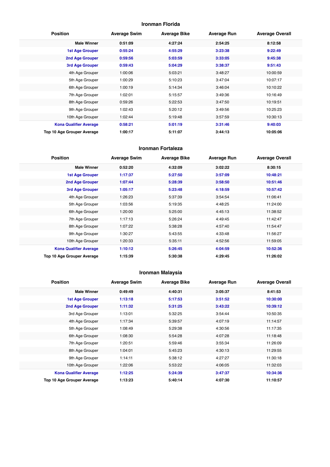## **Ironman Florida**

| <b>Position</b>               | <b>Average Swim</b> | <b>Average Bike</b> | <b>Average Run</b> | <b>Average Overall</b> |
|-------------------------------|---------------------|---------------------|--------------------|------------------------|
| <b>Male Winner</b>            | 0:51:09             | 4:27:24             | 2:54:25            | 8:12:58                |
| <b>1st Age Grouper</b>        | 0:55:24             | 4:55:29             | 3:23:38            | 9:22:49                |
| 2nd Age Grouper               | 0:59:56             | 5:03:59             | 3:33:05            | 9:45:38                |
| 3rd Age Grouper               | 0:59:43             | 5:04:29             | 3:38:37            | 9:51:43                |
| 4th Age Grouper               | 1:00:06             | 5:03:21             | 3:48:27            | 10:00:59               |
| 5th Age Grouper               | 1:00:29             | 5:10:23             | 3:47:04            | 10:07:17               |
| 6th Age Grouper               | 1:00:19             | 5:14:34             | 3:46:04            | 10:10:22               |
| 7th Age Grouper               | 1:02:01             | 5:15:57             | 3:49:36            | 10:16:49               |
| 8th Age Grouper               | 0:59:26             | 5:22:53             | 3:47:50            | 10:19:51               |
| 9th Age Grouper               | 1:02:43             | 5:20:12             | 3:49:56            | 10:25:23               |
| 10th Age Grouper              | 1:02:44             | 5:19:48             | 3:57:59            | 10:30:13               |
| <b>Kona Qualifier Average</b> | 0:58:21             | 5:01:19             | 3:31:46            | 9:40:03                |
| Top 10 Age Grouper Average    | 1:00:17             | 5:11:07             | 3:44:13            | 10:05:06               |

#### **Ironman Fortaleza**

| <b>Position</b>               | <b>Average Swim</b> | <b>Average Bike</b> | <b>Average Run</b> | <b>Average Overall</b> |
|-------------------------------|---------------------|---------------------|--------------------|------------------------|
| <b>Male Winner</b>            | 0:52:20             | 4:32:09             | 3:02:22            | 8:30:15                |
| <b>1st Age Grouper</b>        | 1:17:37             | 5:27:50             | 3:57:09            | 10:48:21               |
| 2nd Age Grouper               | 1:07:44             | 5:28:39             | 3:58:50            | 10:51:46               |
| 3rd Age Grouper               | 1:05:17             | 5:23:48             | 4:18:59            | 10:57:42               |
| 4th Age Grouper               | 1:26:23             | 5:37:39             | 3:54:54            | 11:06:41               |
| 5th Age Grouper               | 1:03:56             | 5:19:35             | 4:48:25            | 11:24:00               |
| 6th Age Grouper               | 1:20:00             | 5:25:00             | 4:45:13            | 11:38:52               |
| 7th Age Grouper               | 1:17:13             | 5:26:24             | 4:49:45            | 11:42:47               |
| 8th Age Grouper               | 1:07:22             | 5:38:28             | 4:57:40            | 11:54:47               |
| 9th Age Grouper               | 1:30:27             | 5:43:55             | 4:33:48            | 11:56:27               |
| 10th Age Grouper              | 1:20:33             | 5:35:11             | 4:52:56            | 11:59:05               |
| <b>Kona Qualifier Average</b> | 1:10:12             | 5:26:45             | 4:04:59            | 10:52:36               |
| Top 10 Age Grouper Average    | 1:15:39             | 5:30:38             | 4:29:45            | 11:26:02               |

## **Ironman Malaysia**

| <b>Position</b>               | <b>Average Swim</b> | <b>Average Bike</b> | <b>Average Run</b> | <b>Average Overall</b> |
|-------------------------------|---------------------|---------------------|--------------------|------------------------|
| <b>Male Winner</b>            | 0:49:49             | 4:40:31             | 3:05:37            | 8:41:53                |
| <b>1st Age Grouper</b>        | 1:13:18             | 5:17:53             | 3:51:52            | 10:30:00               |
| 2nd Age Grouper               | 1:11:32             | 5:31:25             | 3:43:22            | 10:39:12               |
| 3rd Age Grouper               | 1:13:01             | 5:32:25             | 3:54:44            | 10:50:35               |
| 4th Age Grouper               | 1:17:34             | 5:39:57             | 4:07:19            | 11:14:57               |
| 5th Age Grouper               | 1:08:49             | 5:29:38             | 4:30:56            | 11:17:35               |
| 6th Age Grouper               | 1:08:30             | 5:54:28             | 4:07:28            | 11:18:48               |
| 7th Age Grouper               | 1:20:51             | 5:59:46             | 3:55:34            | 11:26:09               |
| 8th Age Grouper               | 1:04:01             | 5:45:23             | 4:30:13            | 11:29:55               |
| 9th Age Grouper               | 1:14:11             | 5:38:12             | 4:27:27            | 11:30:18               |
| 10th Age Grouper              | 1:22:06             | 5:53:22             | 4:06:05            | 11:32:03               |
| <b>Kona Qualifier Average</b> | 1:12:25             | 5:24:39             | 3:47:37            | 10:34:36               |
| Top 10 Age Grouper Average    | 1:13:23             | 5:40:14             | 4:07:30            | 11:10:57               |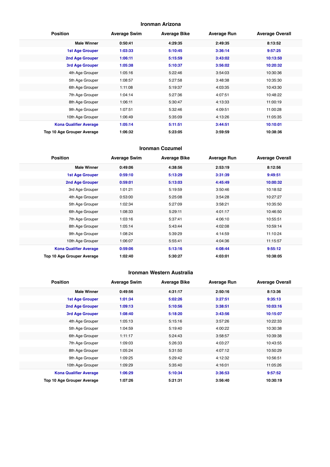#### **Ironman Arizona**

| <b>Position</b>               | <b>Average Swim</b> | <b>Average Bike</b> | <b>Average Run</b> | <b>Average Overall</b> |
|-------------------------------|---------------------|---------------------|--------------------|------------------------|
| <b>Male Winner</b>            | 0:50:41             | 4:29:35             | 2:49:35            | 8:13:52                |
| <b>1st Age Grouper</b>        | 1:03:33             | 5:10:45             | 3:36:14            | 9:57:25                |
| 2nd Age Grouper               | 1:06:11             | 5:15:59             | 3:43:02            | 10:13:50               |
| 3rd Age Grouper               | 1:05:38             | 5:10:37             | 3:56:02            | 10:20:32               |
| 4th Age Grouper               | 1:05:16             | 5:22:46             | 3:54:03            | 10:30:36               |
| 5th Age Grouper               | 1:08:57             | 5:27:58             | 3:48:38            | 10:35:30               |
| 6th Age Grouper               | 1:11:08             | 5:19:37             | 4:03:35            | 10:43:30               |
| 7th Age Grouper               | 1:04:14             | 5:27:36             | 4:07:51            | 10:48:22               |
| 8th Age Grouper               | 1:06:11             | 5:30:47             | 4:13:33            | 11:00:19               |
| 9th Age Grouper               | 1:07:51             | 5:32:46             | 4:09:51            | 11:00:28               |
| 10th Age Grouper              | 1:06:49             | 5:35:09             | 4:13:26            | 11:05:35               |
| <b>Kona Qualifier Average</b> | 1:05:14             | 5:11:51             | 3:44:51            | 10:10:01               |
| Top 10 Age Grouper Average    | 1:06:32             | 5:23:05             | 3:59:59            | 10:38:36               |

#### **Ironman Cozumel**

| <b>Position</b>               | <b>Average Swim</b> | <b>Average Bike</b> | <b>Average Run</b> | <b>Average Overall</b> |
|-------------------------------|---------------------|---------------------|--------------------|------------------------|
| <b>Male Winner</b>            | 0:49:06             | 4:38:56             | 2:53:19            | 8:12:56                |
| <b>1st Age Grouper</b>        | 0:59:10             | 5:13:29             | 3:31:39            | 9:49:51                |
| 2nd Age Grouper               | 0:59:01             | 5:13:03             | 4:45:49            | 10:00:32               |
| 3rd Age Grouper               | 1:01:21             | 5:19:59             | 3:50:46            | 10:18:52               |
| 4th Age Grouper               | 0:53:00             | 5:25:08             | 3:54:28            | 10:27:27               |
| 5th Age Grouper               | 1:02:34             | 5:27:09             | 3:58:21            | 10:35:50               |
| 6th Age Grouper               | 1:08:33             | 5:29:11             | 4:01:17            | 10:46:50               |
| 7th Age Grouper               | 1:03:16             | 5:37:41             | 4:06:10            | 10:55:51               |
| 8th Age Grouper               | 1:05:14             | 5:43:44             | 4:02:08            | 10:59:14               |
| 9th Age Grouper               | 1:08:24             | 5:39:29             | 4:14:59            | 11:10:24               |
| 10th Age Grouper              | 1:06:07             | 5:55:41             | 4:04:36            | 11:15:57               |
| <b>Kona Qualifier Average</b> | 0:59:06             | 5:13:16             | 4:08:44            | 9:55:12                |
| Top 10 Age Grouper Average    | 1:02:40             | 5:30:27             | 4:03:01            | 10:38:05               |

#### **Ironman Western Australia**

| <b>Position</b>               | <b>Average Swim</b> | <b>Average Bike</b> | <b>Average Run</b> | <b>Average Overall</b> |
|-------------------------------|---------------------|---------------------|--------------------|------------------------|
| <b>Male Winner</b>            | 0:49:56             | 4:31:17             | 2:50:16            | 8:13:36                |
| <b>1st Age Grouper</b>        | 1:01:34             | 5:02:26             | 3:27:51            | 9:35:13                |
| 2nd Age Grouper               | 1:09:13             | 5:10:56             | 3:38:51            | 10:03:16               |
| 3rd Age Grouper               | 1:08:40             | 5:18:20             | 3:43:56            | 10:15:07               |
| 4th Age Grouper               | 1:05:13             | 5:15:16             | 3:57:26            | 10:22:33               |
| 5th Age Grouper               | 1:04:59             | 5:19:40             | 4:00:22            | 10:30:38               |
| 6th Age Grouper               | 1:11:17             | 5:24:43             | 3:58:57            | 10:39:38               |
| 7th Age Grouper               | 1:09:03             | 5:26:33             | 4:03:27            | 10:43:55               |
| 8th Age Grouper               | 1:05:24             | 5:31:50             | 4:07:12            | 10:50:29               |
| 9th Age Grouper               | 1:09:25             | 5:29:42             | 4:12:32            | 10:56:51               |
| 10th Age Grouper              | 1:09:29             | 5:35:40             | 4:16:01            | 11:05:26               |
| <b>Kona Qualifier Average</b> | 1:06:29             | 5:10:34             | 3:36:53            | 9:57:52                |
| Top 10 Age Grouper Average    | 1:07:26             | 5:21:31             | 3:56:40            | 10:30:19               |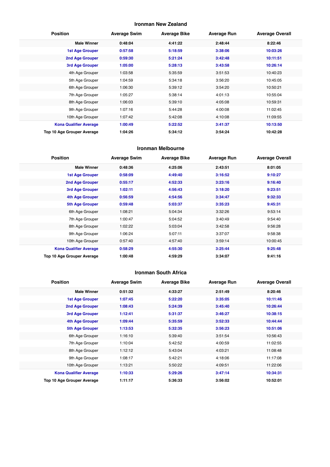## **Ironman New Zealand**

| <b>Position</b>               | <b>Average Swim</b> | <b>Average Bike</b> | <b>Average Run</b> | <b>Average Overall</b> |
|-------------------------------|---------------------|---------------------|--------------------|------------------------|
| <b>Male Winner</b>            | 0:48:04             | 4:41:22             | 2:48:44            | 8:22:46                |
| <b>1st Age Grouper</b>        | 0:57:58             | 5:18:59             | 3:38:06            | 10:03:26               |
| 2nd Age Grouper               | 0:59:30             | 5:21:24             | 3:42:48            | 10:11:51               |
| <b>3rd Age Grouper</b>        | 1:05:00             | 5:28:13             | 3:43:58            | 10:26:14               |
| 4th Age Grouper               | 1:03:58             | 5:35:59             | 3:51:53            | 10:40:23               |
| 5th Age Grouper               | 1:04:59             | 5:34:18             | 3:56:20            | 10:45:05               |
| 6th Age Grouper               | 1:06:30             | 5:39:12             | 3:54:20            | 10:50:21               |
| 7th Age Grouper               | 1:05:27             | 5:38:14             | 4:01:13            | 10:55:04               |
| 8th Age Grouper               | 1:06:03             | 5:39:10             | 4:05:08            | 10:59:31               |
| 9th Age Grouper               | 1:07:16             | 5:44:28             | 4:00:08            | 11:02:45               |
| 10th Age Grouper              | 1:07:42             | 5:42:08             | 4:10:08            | 11:09:55               |
| <b>Kona Qualifier Average</b> | 1:00:49             | 5:22:52             | 3:41:37            | 10:13:50               |
| Top 10 Age Grouper Average    | 1:04:26             | 5:34:12             | 3:54:24            | 10:42:28               |

#### **Ironman Melbourne**

| <b>Position</b>               | <b>Average Swim</b> | <b>Average Bike</b> | <b>Average Run</b> | <b>Average Overall</b> |
|-------------------------------|---------------------|---------------------|--------------------|------------------------|
| <b>Male Winner</b>            | 0:48:36             | 4:25:06             | 2:43:51            | 8:01:05                |
| <b>1st Age Grouper</b>        | 0:58:09             | 4:49:40             | 3:16:52            | 9:10:27                |
| 2nd Age Grouper               | 0:55:17             | 4:52:33             | 3:23:16            | 9:16:40                |
| <b>3rd Age Grouper</b>        | 1:02:11             | 4:56:43             | 3:18:20            | 9:23:51                |
| 4th Age Grouper               | 0:56:59             | 4:54:56             | 3:34:47            | 9:32:33                |
| <b>5th Age Grouper</b>        | 0:59:48             | 5:03:37             | 3:35:23            | 9:45:31                |
| 6th Age Grouper               | 1:08:21             | 5:04:34             | 3:32:26            | 9:53:14                |
| 7th Age Grouper               | 1:00:47             | 5:04:52             | 3:40:49            | 9:54:40                |
| 8th Age Grouper               | 1:02:22             | 5:03:04             | 3:42:58            | 9:56:28                |
| 9th Age Grouper               | 1:06:24             | 5:07:11             | 3:37:07            | 9:58:38                |
| 10th Age Grouper              | 0:57:40             | 4:57:40             | 3:59:14            | 10:00:45               |
| <b>Kona Qualifier Average</b> | 0:58:29             | 4:55:30             | 3:25:44            | 9:25:48                |
| Top 10 Age Grouper Average    | 1:00:48             | 4:59:29             | 3:34:07            | 9:41:16                |

#### **Ironman South Africa**

| <b>Position</b>               | <b>Average Swim</b> | <b>Average Bike</b> | <b>Average Run</b> | <b>Average Overall</b> |
|-------------------------------|---------------------|---------------------|--------------------|------------------------|
| <b>Male Winner</b>            | 0:51:32             | 4:33:27             | 2:51:49            | 8:20:46                |
| 1st Age Grouper               | 1:07:45             | 5:22:20             | 3:35:05            | 10:11:46               |
| 2nd Age Grouper               | 1:08:43             | 5:24:39             | 3:45:40            | 10:26:44               |
| 3rd Age Grouper               | 1:12:41             | 5:31:37             | 3:46:27            | 10:38:15               |
| 4th Age Grouper               | 1:09:44             | 5:35:59             | 3:52:33            | 10:44:44               |
| 5th Age Grouper               | 1:13:53             | 5:32:35             | 3:56:23            | 10:51:06               |
| 6th Age Grouper               | 1:16:10             | 5:39:40             | 3:51:54            | 10:56:43               |
| 7th Age Grouper               | 1:10:04             | 5:42:52             | 4:00:59            | 11:02:55               |
| 8th Age Grouper               | 1:12:12             | 5:43:04             | 4:03:21            | 11:08:48               |
| 9th Age Grouper               | 1:08:17             | 5:42:21             | 4:18:06            | 11:17:08               |
| 10th Age Grouper              | 1:13:21             | 5:50:22             | 4:09:51            | 11:22:06               |
| <b>Kona Qualifier Average</b> | 1:10:33             | 5:29:26             | 3:47:14            | 10:34:31               |
| Top 10 Age Grouper Average    | 1:11:17             | 5:36:33             | 3:56:02            | 10:52:01               |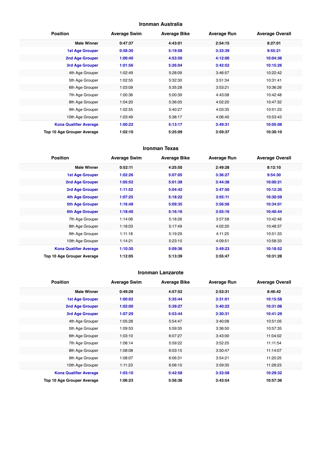#### **Ironman Australia**

| <b>Position</b>               | <b>Average Swim</b> | <b>Average Bike</b> | <b>Average Run</b> | <b>Average Overall</b> |
|-------------------------------|---------------------|---------------------|--------------------|------------------------|
| <b>Male Winner</b>            | 0:47:37             | 4:43:01             | 2:54:15            | 8:27:01                |
| <b>1st Age Grouper</b>        | 0:58:30             | 5:19:58             | 3:33:39            | 9:55:21                |
| 2nd Age Grouper               | 1:00:40             | 4:53:50             | 4:12:00            | 10:04:36               |
| 3rd Age Grouper               | 1:01:56             | 5:26:04             | 3:42:52            | 10:15:26               |
| 4th Age Grouper               | 1:02:49             | 5:28:09             | 3:46:57            | 10:22:42               |
| 5th Age Grouper               | 1:02:55             | 5:32:30             | 3:51:34            | 10:31:41               |
| 6th Age Grouper               | 1:03:09             | 5:35:28             | 3:53:21            | 10:36:26               |
| 7th Age Grouper               | 1:00:36             | 5:00:39             | 4:43:08            | 10:42:48               |
| 8th Age Grouper               | 1:04:20             | 5:36:05             | 4:02:20            | 10:47:32               |
| 9th Age Grouper               | 1:02:55             | 5:40:27             | 4:03:35            | 10:51:23               |
| 10th Age Grouper              | 1:03:49             | 5:38:17             | 4:06:40            | 10:53:43               |
| <b>Kona Qualifier Average</b> | 1:00:22             | 5:13:17             | 3:49:31            | 10:05:08               |
| Top 10 Age Grouper Average    | 1:02:10             | 5:25:09             | 3:59:37            | 10:30:10               |

#### **Ironman Texas**

| <b>Position</b>                   | <b>Average Swim</b> | <b>Average Bike</b> | <b>Average Run</b> | <b>Average Overall</b> |
|-----------------------------------|---------------------|---------------------|--------------------|------------------------|
| <b>Male Winner</b>                | 0:52:11             | 4:25:50             | 2:49:28            | 8:12:10                |
| <b>1st Age Grouper</b>            | 1:02:26             | 5:07:05             | 3:36:27            | 9:54:30                |
| 2nd Age Grouper                   | 1:05:52             | 5:01:38             | 3:44:38            | 10:00:21               |
| 3rd Age Grouper                   | 1:11:52             | 5:04:42             | 3:47:50            | 10:12:35               |
| 4th Age Grouper                   | 1:07:25             | 5:18:22             | 3:55:11            | 10:30:59               |
| 5th Age Grouper                   | 1:16:48             | 5:09:35             | 3:56:56            | 10:34:01               |
| <b>6th Age Grouper</b>            | 1:18:40             | 5:16:16             | 3:55:16            | 10:40:44               |
| 7th Age Grouper                   | 1:14:06             | 5:18:26             | 3:57:58            | 10:42:48               |
| 8th Age Grouper                   | 1:18:03             | 5:17:49             | 4:02:20            | 10:48:37               |
| 9th Age Grouper                   | 1:11:18             | 5:19:29             | 4:11:25            | 10:51:33               |
| 10th Age Grouper                  | 1:14:21             | 5:23:10             | 4:09:51            | 10:58:33               |
| <b>Kona Qualifier Average</b>     | 1:10:30             | 5:09:36             | 3:49:23            | 10:18:52               |
| <b>Top 10 Age Grouper Average</b> | 1:12:05             | 5:13:39             | 3:55:47            | 10:31:28               |

#### **Ironman Lanzarote**

| <b>Position</b>               | <b>Average Swim</b> | <b>Average Bike</b> | <b>Average Run</b> | <b>Average Overall</b> |
|-------------------------------|---------------------|---------------------|--------------------|------------------------|
| <b>Male Winner</b>            | 0:49:28             | 4:57:52             | 2:53:31            | 8:46:42                |
| <b>1st Age Grouper</b>        | 1:00:02             | 5:35:44             | 3:31:01            | 10:15:58               |
| <b>2nd Age Grouper</b>        | 1:02:00             | 5:39:27             | 3:40:22            | 10:31:08               |
| 3rd Age Grouper               | 1:07:29             | 5:53:44             | 3:30:31            | 10:41:29               |
| 4th Age Grouper               | 1:05:28             | 5:54:47             | 3:40:08            | 10:51:05               |
| 5th Age Grouper               | 1:09:53             | 5:59:35             | 3:36:50            | 10:57:35               |
| 6th Age Grouper               | 1:03:10             | 6:07:27             | 3:43:00            | 11:04:02               |
| 7th Age Grouper               | 1:08:14             | 5:59:22             | 3:52:25            | 11:11:54               |
| 8th Age Grouper               | 1:08:08             | 6:03:15             | 3:50:47            | 11:14:07               |
| 9th Age Grouper               | 1:08:07             | 6:06:31             | 3:54:21            | 11:20:25               |
| 10th Age Grouper              | 1:11:23             | 6:06:10             | 3:59:35            | 11:28:23               |
| <b>Kona Qualifier Average</b> | 1:03:10             | 5:42:58             | 3:33:58            | 10:29:32               |
| Top 10 Age Grouper Average    | 1:06:23             | 5:56:36             | 3:43:54            | 10:57:36               |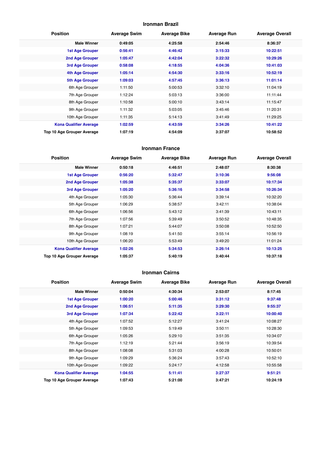## **Ironman Brazil**

| <b>Position</b>               | <b>Average Swim</b> | <b>Average Bike</b> | <b>Average Run</b> | <b>Average Overall</b> |
|-------------------------------|---------------------|---------------------|--------------------|------------------------|
| <b>Male Winner</b>            | 0:49:05             | 4:25:58             | 2:54:46            | 8:36:37                |
| <b>1st Age Grouper</b>        | 0:56:41             | 4:46:42             | 3:15:33            | 10:22:51               |
| 2nd Age Grouper               | 1:05:47             | 4:42:04             | 3:22:32            | 10:29:26               |
| 3rd Age Grouper               | 0:58:08             | 4:18:55             | 4:04:36            | 10:41:03               |
| 4th Age Grouper               | 1:05:14             | 4:54:30             | 3:33:16            | 10:52:19               |
| <b>5th Age Grouper</b>        | 1:09:03             | 4:57:45             | 3:36:13            | 11:01:14               |
| 6th Age Grouper               | 1:11:50             | 5:00:53             | 3:32:10            | 11:04:19               |
| 7th Age Grouper               | 1:12:24             | 5:03:13             | 3:36:00            | 11:11:44               |
| 8th Age Grouper               | 1:10:58             | 5:00:10             | 3:43:14            | 11:15:47               |
| 9th Age Grouper               | 1:11:32             | 5:03:05             | 3:45:46            | 11:20:31               |
| 10th Age Grouper              | 1:11:35             | 5:14:13             | 3:41:49            | 11:29:25               |
| <b>Kona Qualifier Average</b> | 1:02:59             | 4:43:59             | 3:34:26            | 10:41:22               |
| Top 10 Age Grouper Average    | 1:07:19             | 4:54:09             | 3:37:07            | 10:58:52               |

#### **Ironman France**

| <b>Position</b>               | <b>Average Swim</b> | <b>Average Bike</b> | <b>Average Run</b> | <b>Average Overall</b> |
|-------------------------------|---------------------|---------------------|--------------------|------------------------|
| <b>Male Winner</b>            | 0:50:18             | 4:46:51             | 2:48:07            | 8:30:38                |
| <b>1st Age Grouper</b>        | 0:56:20             | 5:32:47             | 3:10:36            | 9:56:08                |
| 2nd Age Grouper               | 1:05:38             | 5:35:37             | 3:33:07            | 10:17:34               |
| 3rd Age Grouper               | 1:05:20             | 5:36:16             | 3:34:58            | 10:26:34               |
| 4th Age Grouper               | 1:05:30             | 5:36:44             | 3:39:14            | 10:32:20               |
| 5th Age Grouper               | 1:06:29             | 5:38:57             | 3:42:11            | 10:38:04               |
| 6th Age Grouper               | 1:06:56             | 5:43:12             | 3:41:39            | 10:43:11               |
| 7th Age Grouper               | 1:07:56             | 5:39:49             | 3:50:52            | 10:48:35               |
| 8th Age Grouper               | 1:07:21             | 5:44:07             | 3:50:08            | 10:52:50               |
| 9th Age Grouper               | 1:08:19             | 5:41:50             | 3:55:14            | 10:56:19               |
| 10th Age Grouper              | 1:06:20             | 5:53:49             | 3:49:20            | 11:01:24               |
| <b>Kona Qualifier Average</b> | 1:02:26             | 5:34:53             | 3:26:14            | 10:13:25               |
| Top 10 Age Grouper Average    | 1:05:37             | 5:40:19             | 3:40:44            | 10:37:18               |

#### **Ironman Cairns**

| <b>Position</b>               | <b>Average Swim</b> | <b>Average Bike</b> | <b>Average Run</b> | <b>Average Overall</b> |
|-------------------------------|---------------------|---------------------|--------------------|------------------------|
| <b>Male Winner</b>            | 0:50:04             | 4:30:34             | 2:53:07            | 8:17:45                |
| <b>1st Age Grouper</b>        | 1:00:20             | 5:00:46             | 3:31:12            | 9:37:48                |
| 2nd Age Grouper               | 1:06:51             | 5:11:35             | 3:29:30            | 9:55:37                |
| 3rd Age Grouper               | 1:07:34             | 5:22:42             | 3:22:11            | 10:00:40               |
| 4th Age Grouper               | 1:07:52             | 5:12:27             | 3:41:24            | 10:08:27               |
| 5th Age Grouper               | 1:09:53             | 5:19:49             | 3:50:11            | 10:28:30               |
| 6th Age Grouper               | 1:05:26             | 5:29:10             | 3:51:35            | 10:34:07               |
| 7th Age Grouper               | 1:12:19             | 5:21:44             | 3:56:19            | 10:39:54               |
| 8th Age Grouper               | 1:08:08             | 5:31:03             | 4:00:28            | 10:50:01               |
| 9th Age Grouper               | 1:09:29             | 5:36:24             | 3:57:43            | 10:52:10               |
| 10th Age Grouper              | 1:09:22             | 5:24:17             | 4:12:58            | 10:55:58               |
| <b>Kona Qualifier Average</b> | 1:04:55             | 5:11:41             | 3:27:37            | 9:51:21                |
| Top 10 Age Grouper Average    | 1:07:43             | 5:21:00             | 3:47:21            | 10:24:19               |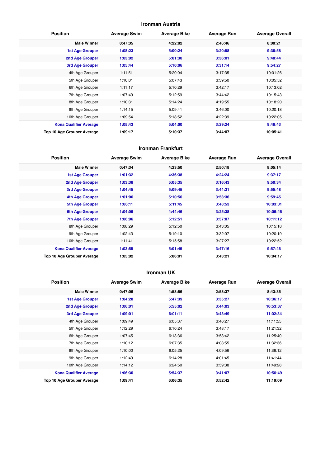## **Ironman Austria**

| <b>Position</b>               | <b>Average Swim</b> | <b>Average Bike</b> | <b>Average Run</b> | <b>Average Overall</b> |
|-------------------------------|---------------------|---------------------|--------------------|------------------------|
| <b>Male Winner</b>            | 0:47:35             | 4:22:02             | 2:46:46            | 8:00:21                |
| <b>1st Age Grouper</b>        | 1:08:23             | 5:00:24             | 3:20:58            | 9:36:58                |
| 2nd Age Grouper               | 1:03:02             | 5:01:30             | 3:36:01            | 9:48:44                |
| 3rd Age Grouper               | 1:05:44             | 5:10:06             | 3:31:14            | 9:54:27                |
| 4th Age Grouper               | 1:11:51             | 5:20:04             | 3:17:35            | 10:01:26               |
| 5th Age Grouper               | 1:10:01             | 5:07:43             | 3:39:50            | 10:05:52               |
| 6th Age Grouper               | 1:11:17             | 5:10:29             | 3:42:17            | 10:13:02               |
| 7th Age Grouper               | 1:07:49             | 5:12:59             | 3:44:42            | 10:15:43               |
| 8th Age Grouper               | 1:10:31             | 5:14:24             | 4:19:55            | 10:18:20               |
| 9th Age Grouper               | 1:14:15             | 5:09:41             | 3:46:00            | 10:20:18               |
| 10th Age Grouper              | 1:09:54             | 5:18:52             | 4:22:39            | 10:22:05               |
| <b>Kona Qualifier Average</b> | 1:05:43             | 5:04:00             | 3:29:24            | 9:46:43                |
| Top 10 Age Grouper Average    | 1:09:17             | 5:10:37             | 3:44:07            | 10:05:41               |

#### **Ironman Frankfurt**

| <b>Position</b>               | <b>Average Swim</b> | <b>Average Bike</b> | <b>Average Run</b> | <b>Average Overall</b> |
|-------------------------------|---------------------|---------------------|--------------------|------------------------|
| <b>Male Winner</b>            | 0:47:34             | 4:23:50             | 2:50:18            | 8:05:14                |
| <b>1st Age Grouper</b>        | 1:01:32             | 4:36:38             | 4:24:24            | 9:37:17                |
| 2nd Age Grouper               | 1:03:38             | 5:05:35             | 3:16:43            | 9:50:34                |
| 3rd Age Grouper               | 1:04:45             | 5:09:45             | 3:44:31            | 9:55:48                |
| 4th Age Grouper               | 1:01:06             | 5:10:56             | 3:53:36            | 9:59:45                |
| 5th Age Grouper               | 1:06:11             | 5:11:45             | 3:48:53            | 10:03:01               |
| <b>6th Age Grouper</b>        | 1:04:09             | 4:44:46             | 3:25:38            | 10:06:46               |
| <b>7th Age Grouper</b>        | 1:06:06             | 5:12:51             | 3:57:07            | 10:11:12               |
| 8th Age Grouper               | 1:08:29             | 5:12:50             | 3:43:05            | 10:15:18               |
| 9th Age Grouper               | 1:02:43             | 5:19:10             | 3:32:07            | 10:20:19               |
| 10th Age Grouper              | 1:11:41             | 5:15:58             | 3:27:27            | 10:22:52               |
| <b>Kona Qualifier Average</b> | 1:03:55             | 5:01:45             | 3:47:16            | 9:57:46                |
| Top 10 Age Grouper Average    | 1:05:02             | 5:06:01             | 3:43:21            | 10:04:17               |

#### **Ironman UK**

| <b>Position</b>               | <b>Average Swim</b> | <b>Average Bike</b> | <b>Average Run</b> | <b>Average Overall</b> |
|-------------------------------|---------------------|---------------------|--------------------|------------------------|
| <b>Male Winner</b>            | 0:47:06             | 4:58:56             | 2:53:37            | 8:43:35                |
| 1st Age Grouper               | 1:04:28             | 5:47:39             | 3:35:27            | 10:36:17               |
| 2nd Age Grouper               | 1:06:01             | 5:55:02             | 3:44:03            | 10:53:37               |
| 3rd Age Grouper               | 1:09:01             | 6:01:11             | 3:43:49            | 11:02:34               |
| 4th Age Grouper               | 1:09:49             | 6:05:37             | 3:46:27            | 11:11:55               |
| 5th Age Grouper               | 1:12:29             | 6:10:24             | 3:48:17            | 11:21:32               |
| 6th Age Grouper               | 1:07:45             | 6:13:36             | 3:53:42            | 11:25:40               |
| 7th Age Grouper               | 1:10:12             | 6:07:35             | 4:03:55            | 11:32:36               |
| 8th Age Grouper               | 1:10:00             | 6:05:25             | 4:09:56            | 11:36:12               |
| 9th Age Grouper               | 1:12:49             | 6:14:28             | 4:01:45            | 11:41:44               |
| 10th Age Grouper              | 1:14:12             | 6:24:50             | 3:59:38            | 11:49:28               |
| <b>Kona Qualifier Average</b> | 1:06:30             | 5:54:37             | 3:41:07            | 10:50:49               |
| Top 10 Age Grouper Average    | 1:09:41             | 6:06:35             | 3:52:42            | 11:19:09               |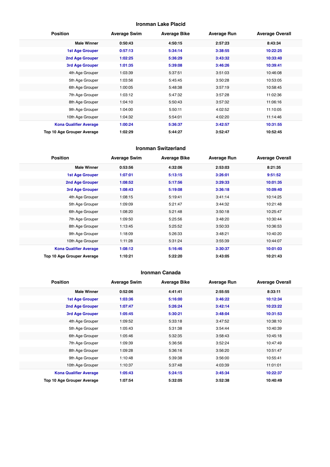## **Ironman Lake Placid**

| <b>Position</b>               | <b>Average Swim</b> | <b>Average Bike</b> | <b>Average Run</b> | <b>Average Overall</b> |
|-------------------------------|---------------------|---------------------|--------------------|------------------------|
| <b>Male Winner</b>            | 0:50:43             | 4:50:15             | 2:57:23            | 8:43:34                |
| <b>1st Age Grouper</b>        | 0:57:13             | 5:34:14             | 3:38:55            | 10:22:25               |
| 2nd Age Grouper               | 1:02:25             | 5:36:29             | 3:43:32            | 10:33:40               |
| 3rd Age Grouper               | 1:01:35             | 5:39:08             | 3:46:26            | 10:39:41               |
| 4th Age Grouper               | 1:03:39             | 5:37:51             | 3:51:03            | 10:46:08               |
| 5th Age Grouper               | 1:03:56             | 5:45:45             | 3:50:28            | 10:53:05               |
| 6th Age Grouper               | 1:00:05             | 5:48:38             | 3:57:19            | 10:58:45               |
| 7th Age Grouper               | 1:03:12             | 5:47:32             | 3:57:28            | 11:02:36               |
| 8th Age Grouper               | 1:04:10             | 5:50:43             | 3:57:32            | 11:06:16               |
| 9th Age Grouper               | 1:04:00             | 5:50:11             | 4:02:52            | 11:10:05               |
| 10th Age Grouper              | 1:04:32             | 5:54:01             | 4:02:20            | 11:14:46               |
| <b>Kona Qualifier Average</b> | 1:00:24             | 5:36:37             | 3:42:57            | 10:31:55               |
| Top 10 Age Grouper Average    | 1:02:29             | 5:44:27             | 3:52:47            | 10:52:45               |

#### **Ironman Switzerland**

| <b>Position</b>               | <b>Average Swim</b> | <b>Average Bike</b> | <b>Average Run</b> | <b>Average Overall</b> |
|-------------------------------|---------------------|---------------------|--------------------|------------------------|
| <b>Male Winner</b>            | 0:53:56             | 4:32:06             | 2:53:03            | 8:21:35                |
| <b>1st Age Grouper</b>        | 1:07:01             | 5:13:15             | 3:26:01            | 9:51:52                |
| 2nd Age Grouper               | 1:08:52             | 5:17:56             | 3:29:33            | 10:01:35               |
| 3rd Age Grouper               | 1:08:43             | 5:19:08             | 3:36:18            | 10:09:40               |
| 4th Age Grouper               | 1:08:15             | 5:19:41             | 3:41:14            | 10:14:25               |
| 5th Age Grouper               | 1:09:09             | 5:21:47             | 3:44:32            | 10:21:48               |
| 6th Age Grouper               | 1:08:20             | 5:21:48             | 3:50:18            | 10:25:47               |
| 7th Age Grouper               | 1:09:50             | 5:25:56             | 3:48:20            | 10:30:44               |
| 8th Age Grouper               | 1:13:45             | 5:25:52             | 3:50:33            | 10:36:53               |
| 9th Age Grouper               | 1:18:09             | 5:26:33             | 3:48:21            | 10:40:20               |
| 10th Age Grouper              | 1:11:28             | 5:31:24             | 3:55:39            | 10:44:07               |
| <b>Kona Qualifier Average</b> | 1:08:12             | 5:16:46             | 3:30:37            | 10:01:03               |
| Top 10 Age Grouper Average    | 1:10:21             | 5:22:20             | 3:43:05            | 10:21:43               |

#### **Ironman Canada**

| <b>Position</b>               | <b>Average Swim</b> | <b>Average Bike</b> | <b>Average Run</b> | <b>Average Overall</b> |
|-------------------------------|---------------------|---------------------|--------------------|------------------------|
| <b>Male Winner</b>            | 0:52:06             | 4:41:41             | 2:55:55            | 8:33:11                |
| <b>1st Age Grouper</b>        | 1:03:36             | 5:16:00             | 3:46:22            | 10:12:34               |
| 2nd Age Grouper               | 1:07:47             | 5:26:24             | 3:42:14            | 10:23:22               |
| 3rd Age Grouper               | 1:05:45             | 5:30:21             | 3:48:04            | 10:31:53               |
| 4th Age Grouper               | 1:09:52             | 5:33:18             | 3:47:52            | 10:38:10               |
| 5th Age Grouper               | 1:05:43             | 5:31:38             | 3:54:44            | 10:40:39               |
| 6th Age Grouper               | 1:05:46             | 5:32:35             | 3:58:43            | 10:45:18               |
| 7th Age Grouper               | 1:09:39             | 5:36:56             | 3:52:24            | 10:47:49               |
| 8th Age Grouper               | 1:09:28             | 5:36:16             | 3:56:20            | 10:51:47               |
| 9th Age Grouper               | 1:10:48             | 5:39:38             | 3:56:00            | 10:55:41               |
| 10th Age Grouper              | 1:10:37             | 5:37:48             | 4:03:39            | 11:01:01               |
| <b>Kona Qualifier Average</b> | 1:05:43             | 5:24:15             | 3:45:34            | 10:22:37               |
| Top 10 Age Grouper Average    | 1:07:54             | 5:32:05             | 3:52:38            | 10:40:49               |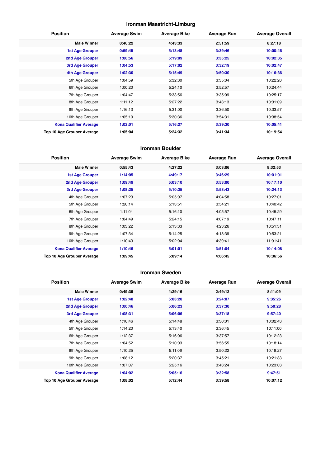## **Ironman Maastricht-Limburg**

| <b>Position</b>               | <b>Average Swim</b> | <b>Average Bike</b> | <b>Average Run</b> | <b>Average Overall</b> |
|-------------------------------|---------------------|---------------------|--------------------|------------------------|
| <b>Male Winner</b>            | 0:46:22             | 4:43:33             | 2:51:59            | 8:27:18                |
| <b>1st Age Grouper</b>        | 0:59:45             | 5:13:48             | 3:39:46            | 10:00:46               |
| <b>2nd Age Grouper</b>        | 1:00:56             | 5:19:09             | 3:35:25            | 10:02:35               |
| <b>3rd Age Grouper</b>        | 1:04:53             | 5:17:02             | 3:32:19            | 10:02:47               |
| 4th Age Grouper               | 1:02:30             | 5:15:49             | 3:50:30            | 10:16:36               |
| 5th Age Grouper               | 1:04:59             | 5:32:30             | 3:35:04            | 10:22:20               |
| 6th Age Grouper               | 1:00:20             | 5:24:10             | 3:52:57            | 10:24:44               |
| 7th Age Grouper               | 1:04:47             | 5:33:56             | 3:35:09            | 10:25:17               |
| 8th Age Grouper               | 1:11:12             | 5:27:22             | 3:43:13            | 10:31:09               |
| 9th Age Grouper               | 1:16:13             | 5:31:00             | 3:36:50            | 10:33:57               |
| 10th Age Grouper              | 1:05:10             | 5:30:36             | 3:54:31            | 10:38:54               |
| <b>Kona Qualifier Average</b> | 1:02:01             | 5:16:27             | 3:39:30            | 10:05:41               |
| Top 10 Age Grouper Average    | 1:05:04             | 5:24:32             | 3:41:34            | 10:19:54               |

#### **Ironman Boulder**

| <b>Position</b>               | <b>Average Swim</b> | <b>Average Bike</b> | <b>Average Run</b> | <b>Average Overall</b> |
|-------------------------------|---------------------|---------------------|--------------------|------------------------|
| <b>Male Winner</b>            | 0:55:43             | 4:27:22             | 3:03:06            | 8:32:53                |
| <b>1st Age Grouper</b>        | 1:14:05             | 4:49:17             | 3:46:29            | 10:01:01               |
| 2nd Age Grouper               | 1:09:49             | 5:03:10             | 3:53:00            | 10:17:10               |
| 3rd Age Grouper               | 1:08:25             | 5:10:35             | 3:53:43            | 10:24:13               |
| 4th Age Grouper               | 1:07:23             | 5:05:07             | 4:04:58            | 10:27:01               |
| 5th Age Grouper               | 1:20:14             | 5:13:51             | 3:54:21            | 10:40:42               |
| 6th Age Grouper               | 1:11:04             | 5:16:10             | 4:05:57            | 10:45:29               |
| 7th Age Grouper               | 1:04:49             | 5:24:15             | 4:07:19            | 10:47:11               |
| 8th Age Grouper               | 1:03:22             | 5:13:33             | 4:23:26            | 10:51:31               |
| 9th Age Grouper               | 1:07:34             | 5:14:25             | 4:18:39            | 10:53:21               |
| 10th Age Grouper              | 1:10:43             | 5:02:04             | 4:39:41            | 11:01:41               |
| <b>Kona Qualifier Average</b> | 1:10:46             | 5:01:01             | 3:51:04            | 10:14:08               |
| Top 10 Age Grouper Average    | 1:09:45             | 5:09:14             | 4:06:45            | 10:36:56               |

#### **Ironman Sweden**

| <b>Position</b>               | <b>Average Swim</b> | <b>Average Bike</b> | <b>Average Run</b> | <b>Average Overall</b> |
|-------------------------------|---------------------|---------------------|--------------------|------------------------|
| <b>Male Winner</b>            | 0:49:39             | 4:29:16             | 2:49:12            | 8:11:09                |
| 1st Age Grouper               | 1:02:48             | 5:03:20             | 3:24:07            | 9:35:26                |
| 2nd Age Grouper               | 1:00:46             | 5:06:23             | 3:37:30            | 9:50:28                |
| 3rd Age Grouper               | 1:08:31             | 5:06:06             | 3:37:18            | 9:57:40                |
| 4th Age Grouper               | 1:10:46             | 5:14:48             | 3:30:01            | 10:02:43               |
| 5th Age Grouper               | 1:14:20             | 5:13:40             | 3:36:45            | 10:11:00               |
| 6th Age Grouper               | 1:12:37             | 5:16:06             | 3:37:57            | 10:12:23               |
| 7th Age Grouper               | 1:04:52             | 5:10:03             | 3:56:55            | 10:18:14               |
| 8th Age Grouper               | 1:10:25             | 5:11:06             | 3:50:22            | 10:19:27               |
| 9th Age Grouper               | 1:08:12             | 5:20:37             | 3:45:21            | 10:21:33               |
| 10th Age Grouper              | 1:07:07             | 5:25:16             | 3:43:24            | 10:23:03               |
| <b>Kona Qualifier Average</b> | 1:04:02             | 5:05:16             | 3:32:58            | 9:47:51                |
| Top 10 Age Grouper Average    | 1:08:02             | 5:12:44             | 3:39:58            | 10:07:12               |